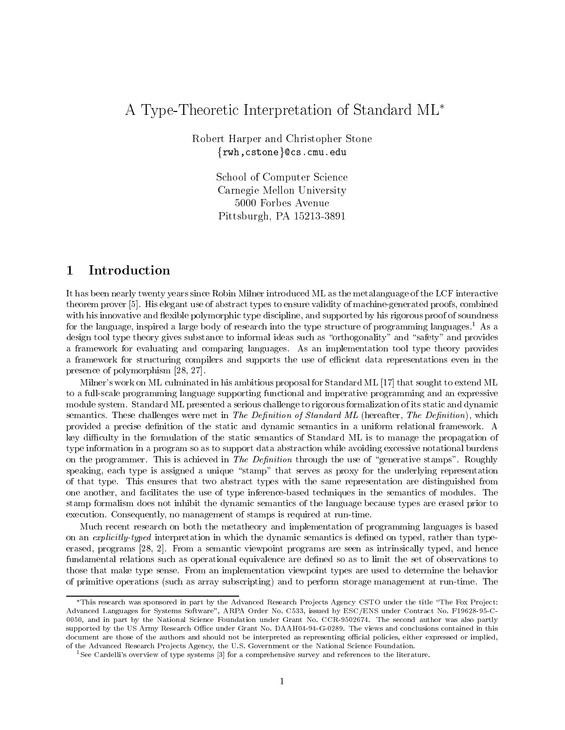## A Type-Theoretic Interpretation of Standard ML

Robert Harper and Christopher Stone  $\{rwh, cstone\}$ @cs.cmu.edu

> School of Computer Science Carnegie Mellon University 5000 Forbes Avenue Pittsburgh, PA 15213-3891

### $\mathbf{1}$ **Introduction**

It has been nearly twenty years since Robin Milner introduced ML as the metalanguage of the LCF interactive theorem prover [5]. His elegant use of abstract types to ensure validity of machine-generated proofs, combined with his innovative and flexible polymorphic type discipline, and supported by his rigorous proof of soundness for the language, inspired a large body of research into the type structure of programming languages.<sup>1</sup> As a design tool type theory gives substance to informal ideas such as "orthogonality" and "safety" and provides a framework for evaluating and comparing languages. As an implementation tool type theory provides a framework for structuring compilers and supports the use of efficient data representations even in the presence of polymorphism [28, 27].

Milner's work on ML culminated in his ambitious proposal for Standard ML [17] that sought to extend ML to a full-scale programming language supporting functional and imperative programming and an expressive module system. Standard ML presented a serious challenge to rigorous formalization of its static and dynamic semantics. These challenges were met in The Definition of Standard ML (hereafter, The Definition), which provided a precise definition of the static and dynamic semantics in a uniform relational framework. A key difficulty in the formulation of the static semantics of Standard ML is to manage the propagation of type information in a program so as to support data abstraction while avoiding excessive notational burdens on the programmer. This is achieved in *The Definition* through the use of "generative stamps". Roughly speaking, each type is assigned a unique "stamp" that serves as proxy for the underlying representation of that type. This ensures that two abstract types with the same representation are distinguished from one another, and facilitates the use of type inference-based techniques in the semantics of modules. The stamp formalism does not inhibit the dynamic semantics of the language because types are erased prior to execution. Consequently, no management of stamps is required at run-time.

Much recent research on both the metatheory and implementation of programming languages is based on an *explicitly-typed* interpretation in which the dynamic semantics is defined on typed, rather than typeerased, programs [28, 2]. From a semantic viewpoint programs are seen as intrinsically typed, and hence fundamental relations such as operational equivalence are defined so as to limit the set of observations to those that make type sense. From an implementation viewpoint types are used to determine the behavior of primitive operations (such as array subscripting) and to perform storage management at run-time. The

<sup>\*</sup>This research was sponsored in part by the Advanced Research Projects Agency CSTO under the title "The Fox Project: Advanced Languages for Systems Software", ARPA Order No. C533, issued by ESC/ENS under Contract No. F19628-95-C-0050, and in part by the National Science Foundation under Grant No. CCR-9502674. The second author was also partly supported by the US Army Research Office under Grant No. DAAH04-94-G-0289. The views and conclusions contained in this document are those of the authors and should not be interpreted as representing official policies, either expressed or implied, of the Advanced Research Projects Agency, the U.S. Government or the National Science Foundation.

<sup>&</sup>lt;sup>1</sup>See Cardelli's overview of type systems  $\lbrack 3\rbrack$  for a comprehensive survey and references to the literature.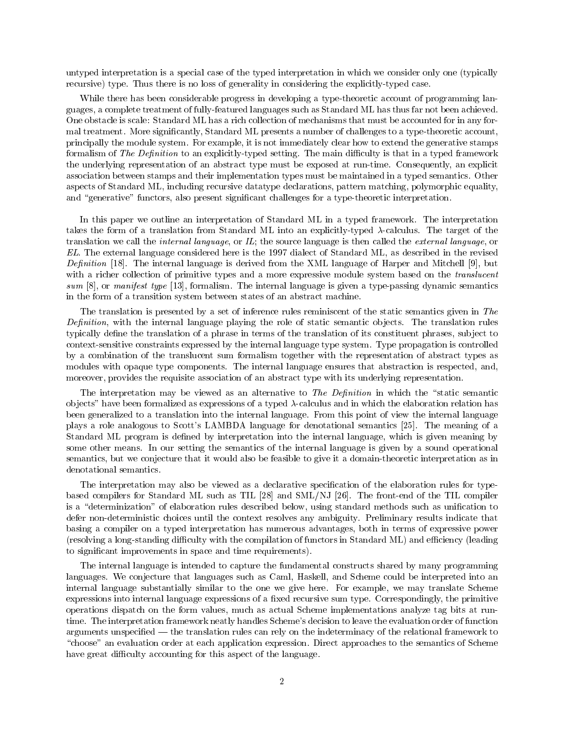untyped interpretation is a special case of the typed interpretation in which we consider only one (typically recursive) type. Thus there is no loss of generality in considering the explicitly-typed case.

While there has been considerable progress in developing a type-theoretic account of programming languages, a complete treatment of fully-featured languages such as Standard ML has thus far not been achieved. One obstacle is scale: Standard ML has a rich collection of mechanisms that must be accounted for in any formal treatment. More signicantly, Standard ML presents a number of challenges to a type-theoretic account, principally the module system. For example, it is not immediately clear how to extend the generative stamps formalism of The Definition to an explicitly-typed setting. The main difficulty is that in a typed framework the underlying representation of an abstract type must be exposed at run-time. Consequently, an explicit association between stamps and their implementation types must be maintained in a typed semantics. Other aspects of Standard ML, including recursive datatype declarations, pattern matching, polymorphic equality, and "generative" functors, also present significant challenges for a type-theoretic interpretation.

In this paper we outline an interpretation of Standard ML in a typed framework. The interpretation takes the form of a translation from Standard ML into an explicitly-typed  $\lambda$ -calculus. The target of the translation we call the internal language, or IL; the source language is then called the external language, or EL. The external language considered here is the 1997 dialect of Standard ML, as described in the revised  $Definition$  [18]. The internal language is derived from the XML language of Harper and Mitchell [9], but with a richer collection of primitive types and a more expressive module system based on the *translucent* sum [8], or manifest type [13], formalism. The internal language is given a type-passing dynamic semantics in the form of a transition system between states of an abstract machine.

The translation is presented by a set of inference rules reminiscent of the static semantics given in The Definition, with the internal language playing the role of static semantic objects. The translation rules typically define the translation of a phrase in terms of the translation of its constituent phrases, subject to context-sensitive constraints expressed by the internal language type system. Type propagation is controlled by a combination of the translucent sum formalism together with the representation of abstract types as modules with opaque type components. The internal language ensures that abstraction is respected, and, moreover, provides the requisite association of an abstract type with its underlying representation.

The interpretation may be viewed as an alternative to *The Definition* in which the "static semantic objects" have been formalized as expressions of a typed  $\lambda$ -calculus and in which the elaboration relation has been generalized to a translation into the internal language. From this point of view the internal language plays a role analogous to Scott's LAMBDA language for denotational semantics [25]. The meaning of a Standard ML program is defined by interpretation into the internal language, which is given meaning by some other means. In our setting the semantics of the internal language is given by a sound operational some other means. In our setting the semantics of the internal language is given by a sound operational semantics, but we conjecture that it would also be feasible to give it a domain-theoretic interpretation as in

The interpretation may also be viewed as a declarative specification of the elaboration rules for typebased compilers for Standard ML such as TIL [28] and SML/NJ [26]. The front-end of the TIL compiler is a "determinization" of elaboration rules described below, using standard methods such as unification to defer non-deterministic choices until the context resolves any ambiguity. Preliminary results indicate that basing a compiler on a typed interpretation has numerous advantages, both in terms of expressive power (resolving a long-standing difficulty with the compilation of functors in Standard ML) and efficiency (leading to signicant improvements in space and time requirements).

The internal language is intended to capture the fundamental constructs shared by many programming languages. We conjecture that languages such as Caml, Haskell, and Scheme could be interpreted into an internal language substantially similar to the one we give here. For example, we may translate Scheme expressions into internal language expressions of a fixed recursive sum type. Correspondingly, the primitive operations dispatch on the form values, much as actual Scheme implementations analyze tag bits at runtime. The interpretation framework neatly handles Scheme's decision to leave the evaluation order of function arguments unspecified — the translation rules can rely on the indeterminacy of the relational framework to "choose" an evaluation order at each application expression. Direct approaches to the semantics of Scheme have great difficulty accounting for this aspect of the language.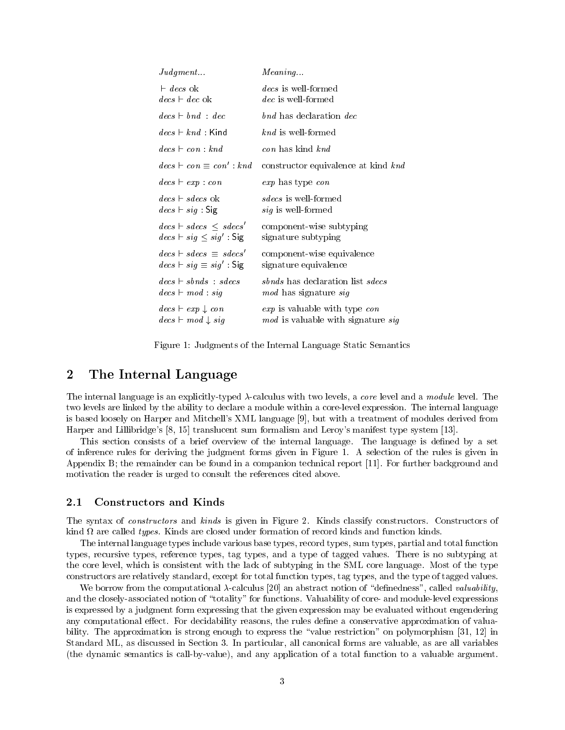| Judgment                            | Meaning                                          |
|-------------------------------------|--------------------------------------------------|
| $\vdash$ decs ok                    | decs is well-formed                              |
| $decs \vdash dec \text{ ok}$        | <i>dec</i> is well-formed                        |
| $decs + bnd : dec$                  | <i>bnd</i> has declaration <i>dec</i>            |
| $decs \vdash knd$ Kind              | knd is well-formed                               |
| $decs \vdash con: knd$              | con has kind knd                                 |
| $decs \vdash con \equiv con' : knd$ | constructor equivalence at kind knd              |
| $decs \vdash exp : con$             | exp has type con                                 |
| $decs + sdecs$ ok                   | <i>sdecs</i> is well-formed                      |
| $decs + sig$ : Sig                  | sig is well-formed                               |
| $decs + sdecs \leq sdecs'$          | component-wise subtyping                         |
| $decs \vdash sig \le sig'$ : Sig    | signature subtyping                              |
| $decs + sdecs \equiv sdecs'$        | component-wise equivalence                       |
| $decs \vdash sig \equiv sig'$ : Sig | signature equivalence                            |
| $decs \vdash shnds : sdecs$         | <i>sbnds</i> has declaration list <i>sdecs</i>   |
| $decs \vdash mod \; sig$            | <i>mod</i> has signature <i>sig</i>              |
| $decs \vdash exp \downarrow con$    | exp is valuable with type con                    |
| $decs \vdash mod \downarrow sig$    | <i>mod</i> is valuable with signature <i>sig</i> |

Figure 1: Judgments of the Internal Language Static Semantics

## 2 The Internal Language

The internal language is an explicitly-typed  $\lambda$ -calculus with two levels, a *core* level and a *module* level. The two levels are linked by the ability to declare a module within a core-level expression. The internal language is based loosely on Harper and Mitchell's XML language [9], but with a treatment of modules derived from Harper and Lillibridge's [8, 15] translucent sum formalism and Leroy's manifest type system [13].

This section consists of a brief overview of the internal language. The language is defined by a set of inference rules for deriving the judgment forms given in Figure 1.A selection of the rules is given in Appendix B; the remainder can be found in a companion technical report [11]. For further background and motivation the reader is urged to consult the references cited above.

### 2.1 Constructors and Kinds

The syntax of *constructors* and *kinds* is given in Figure 2. Kinds classify constructors. Constructors of kind are called types. Kinds are closed under formation of record kinds and function kinds.

The internal language types include various base types, record types, sum types, partial and total function types, recursive types, reference types, tag types, and a type of tagged values. There is no subtyping at the core level, which is consistent with the lack of subtyping in the SML core language. Most of the type constructors are relatively standard, except for total function types, tag types, and the type of tagged values.

We borrow from the computational  $\lambda$ -calculus [20] an abstract notion of "definedness", called valuability, and the closely-associated notion of "totality" for functions. Valuability of core- and module-level expressions is expressed by a judgment form expressing that the given expression may be evaluated without engendering any computational effect. For decidability reasons, the rules define a conservative approximation of valuability. The approximation is strong enough to express the "value restriction" on polymorphism [31, 12] in Standard ML, as discussed in Section 3. In particular, all canonical forms are valuable, as are all variables (the dynamic semantics is call-by-value), and any application of a total function to a valuable argument.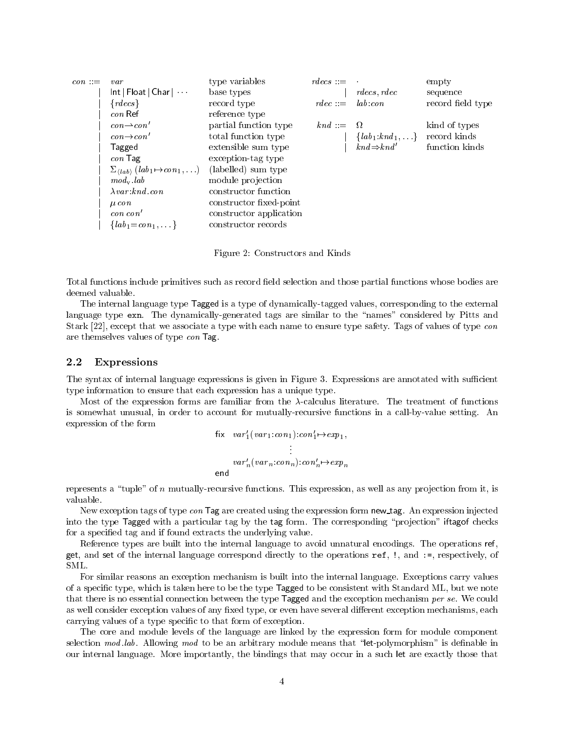| $con ::=$ | var                                                              | type variables          | $r desc :=$      |                                         | empty             |
|-----------|------------------------------------------------------------------|-------------------------|------------------|-----------------------------------------|-------------------|
|           | $Int  $ Float $ $ Char $  \cdots$                                | base types              |                  | rdecs, rdec                             | sequence          |
|           | $\{rdecs\}$                                                      | record type             | $rdec := labcon$ |                                         | record field type |
|           | $\cos$ Ref                                                       | reference type          |                  |                                         |                   |
|           | $con \rightarrow con'$                                           | partial function type   | $knd := \Omega$  |                                         | kind of types     |
|           | $con \rightarrow con'$                                           | total function type     |                  | $\{lab_1: knd_1, \ldots\}$ record kinds |                   |
|           | Tagged                                                           | extensible sum type     |                  | $knd \Rightarrow knd'$                  | function kinds    |
|           | $\cos$ Tag                                                       | exception-tag type      |                  |                                         |                   |
|           | $\Sigma_{\langle lab \rangle} (lab_1 \rightarrow con_1, \ldots)$ | (labelled) sum type     |                  |                                         |                   |
|           | $mod_{v}.lab$                                                    | module projection       |                  |                                         |                   |
|           | $\lambda var:$ knd.con                                           | constructor function    |                  |                                         |                   |
|           | $\mu$ con                                                        | constructor fixed-point |                  |                                         |                   |
|           | $con\ con'$                                                      | constructor application |                  |                                         |                   |
|           | $\{ \n \leq l \leq n_1, \ldots \}$                               | constructor records     |                  |                                         |                   |

Figure 2: Constructors and Kinds

Total functions include primitives such as record field selection and those partial functions whose bodies are deemed valuable.

The internal language type Tagged is a type of dynamically-tagged values, corresponding to the external language type exn. The dynamically-generated tags are similar to the "names" considered by Pitts and Stark [22], except that we associate a type with each name to ensure type safety. Tags of values of type con are themselves values of type *con* Tag.<br>2.2 Expressions

The syntax of internal language expressions is given in Figure 3. Expressions are annotated with sufficient type information to ensure that each expression has a unique type.

Most of the expression forms are familiar from the  $\lambda$ -calculus literature. The treatment of functions is somewhat unusual, in order to account for mutually-recursive functions in a call-by-value setting. An expression of the form  $\sim 10^7$  $\sim 10^{-1}$ 

$$
\begin{aligned}\n\text{fix} \quad & var_1'(var_1:con_1):con'_1 \mapsto exp_1, \\
&\vdots \\
& var'_n(var_n:con_n):con'_n \mapsto exp_n \\
\text{end}\n\end{aligned}
$$

represents a "tuple" of n mutually-recursive functions. This expression, as well as any projection from it, is valuable.

New exception tags of type con Tag are created using the expression form new tag. An expression injected into the type Tagged with a particular tag by the tag form. The corresponding "projection" iftagof checks for a specied tag and if found extracts the underlying value.

Reference types are built into the internal language to avoid unnatural encodings. The operations ref, get, and set of the internal language correspond directly to the operations ref, !, and :=, respectively, of

For similar reasons an exception mechanism is built into the internal language. Exceptions carry values of a specific type, which is taken here to be the type Tagged to be consistent with Standard ML, but we note that there is no essential connection between the type Tagged and the exception mechanism per se. We could as well consider exception values of any fixed type, or even have several different exception mechanisms, each carrying values of a type specic to that form of exception.

The core and module levels of the language are linked by the expression form for module component selection  $mod. lab.$  Allowing  $mod$  to be an arbitrary module means that "let-polymorphism" is definable in our internal language. More importantly, the bindings that may occur in a such letare exactly those that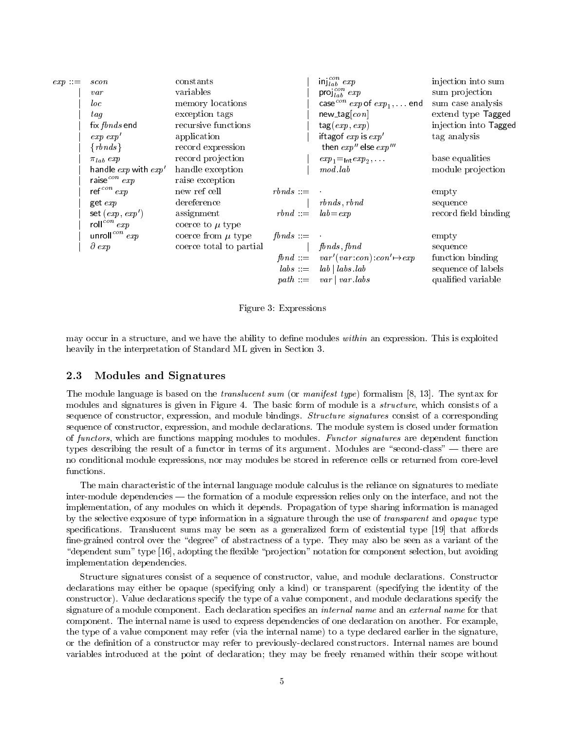| $exp$ : = | scon                     | constants               |                     | inj $_{lab}^{con}$ exp                                              | injection into sum    |
|-----------|--------------------------|-------------------------|---------------------|---------------------------------------------------------------------|-----------------------|
|           | var                      | variables               |                     | proj $_{lab}^{con}$ exp                                             | sum projection        |
|           | loc                      | memory locations        |                     | case <sup>con</sup> $exp$ of $exp_1$ ,  end                         | sum case analysis     |
|           | taq                      | exception tags          |                     | $new\_tag[con]$                                                     | extend type Tagged    |
|           | fix $\mathit{fbnds}$ end | recursive functions     |                     | tag(exp, exp)                                                       | injection into Tagged |
|           | exp exp'                 | application             |                     | iftagof $exp$ is $exp'$                                             | tag analysis          |
|           | ${rbnds}$                | record expression       |                     | then $exp''$ else $exp'''$                                          |                       |
|           | $\pi_{lab}$ exp          | record projection       |                     | $exp_1 = \ln t exp_2, \ldots$                                       | base equalities       |
|           | handle $exp$ with $exp'$ | handle exception        |                     | mod.lab                                                             | module projection     |
|           | raise $^{con}$ exp       | raise exception         |                     |                                                                     |                       |
|           | ref $\int^{con} exp$     | new ref cell            | $rbnds ::=$         |                                                                     | empty                 |
|           | get exp                  | dereference             |                     | rbnds, rbnd                                                         | sequence              |
|           | set $(exp, exp')$        | assignment              | $rbnd := lab = exp$ |                                                                     | record field binding  |
|           | roll $^{con}$ $exp$      | coerce to $\mu$ type    |                     |                                                                     |                       |
|           | unroll $^{con}$ exp      | coerce from $\mu$ type  | $fbnds =$           |                                                                     | empty                 |
|           | $\partial \exp$          | coerce total to partial |                     | fbnds, fbnd                                                         | sequence              |
|           |                          |                         |                     | $fbnd := var'(var:con): con' \rightarrow exp$                       | function binding      |
|           |                          |                         |                     | $\mathit{labels} ::= \mathit{lab}   \mathit{labels} . \mathit{lab}$ | sequence of labels    |
|           |                          |                         |                     | $path ::= var   var   abs$                                          | qualified variable    |

Figure 3: Expressions

may occur in a structure, and we have the ability to define modules within an expression. This is exploited heavily in the interpretation of Standard ML given in Section 3.

### 2.3 Modules and Signatures

The module language is based on the *translucent sum* (or *manifest type*) formalism [8, 13]. The syntax for modules and signatures is given in Figure 4. The basic form of module is a *structure*, which consists of a sequence of constructor, expression, and module bindings. *Structure signatures* consist of a corresponding sequence of constructor, expression, and module declarations. The module system is closed under formation of functors, which are functions mapping modules to modules. Functor signatures are dependent function types describing the result of a functor in terms of its argument. Modules are "second-class"  $-$  there are no conditional module expressions, nor may modules be stored in reference cells or returned from core-level functions.

The main characteristic of the internal language module calculus is the reliance on signatures to mediate inter-module dependencies — the formation of a module expression relies only on the interface, and not the implementation, of any modules on which it depends. Propagation of type sharing information is managed by the selective exposure of type information in a signature through the use of transparent and opaque type specifications. Translucent sums may be seen as a generalized form of existential type [19] that affords fine-grained control over the "degree" of abstractness of a type. They may also be seen as a variant of the "dependent sum" type  $[16]$ , adopting the flexible "projection" notation for component selection, but avoiding implementation dependencies.

Structure signatures consist of a sequence of constructor, value, and module declarations. Constructor declarations may either be opaque (specifying only a kind) or transparent (specifying the identity of the constructor). Value declarations specify the type of a value component, and module declarations specify the signature of a module component. Each declaration specifies an *internal name* and an external name for that component. The internal name is used to express dependencies of one declaration on another. For example, the type of a value component may refer (via the internal name) to a type declared earlier in the signature, or the definition of a constructor may refer to previously-declared constructors. Internal names are bound variables introduced at the point of declaration; they may be freely renamed within their scope without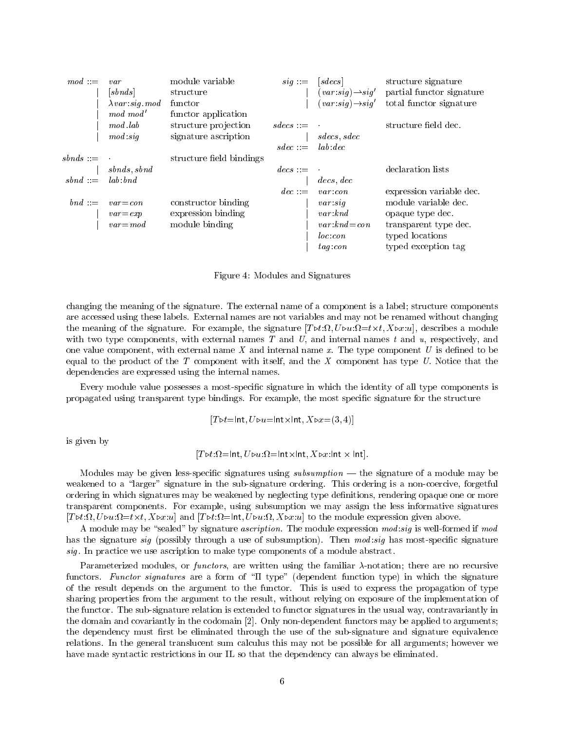| $mod ::= var$      |                         | module variable          |                                      | $sig := [sdecs]$  | structure signature                                                                                                               |
|--------------------|-------------------------|--------------------------|--------------------------------------|-------------------|-----------------------------------------------------------------------------------------------------------------------------------|
|                    | [shnds]                 | structure                |                                      |                   | $(var: sig) \rightarrow sig'$ partial functor signature<br>( <i>var</i> : <i>sig</i> ) $\rightarrow sig'$ total functor signature |
|                    | $\lambda var: sig. mod$ | functor                  |                                      |                   |                                                                                                                                   |
|                    | $mod \ mod$             | functor application      |                                      |                   |                                                                                                                                   |
|                    | $mod$ .lab              | structure projection     | $sdecs ::=$                          |                   | structure field dec.                                                                                                              |
|                    | mod: sig                | signature ascription     |                                      | sdecs, sdec       |                                                                                                                                   |
|                    |                         |                          | $\textit{sdec} ::= \textit{lab dec}$ |                   |                                                                                                                                   |
| $shnds:=-$         |                         | structure field bindings |                                      |                   |                                                                                                                                   |
|                    | shnds, sbnd             |                          | $decs ::=$                           |                   | declaration lists                                                                                                                 |
| $shnd := lab: bnd$ |                         |                          |                                      | decs, dec         |                                                                                                                                   |
|                    |                         |                          |                                      | $dec := var: con$ | expression variable dec.                                                                                                          |
|                    | $bnd ::= var = con$     | constructor binding      |                                      | $var$ sig         | module variable dec.                                                                                                              |
|                    |                         | expression binding       |                                      | $var:$ knd        | opaque type dec.                                                                                                                  |
|                    | $var=exp$<br>$var=mod$  | module binding           |                                      | $var:$ knd=con    | transparent type dec.                                                                                                             |
|                    |                         |                          |                                      | loc:con           | typed locations                                                                                                                   |
|                    |                         |                          |                                      | tag:con           | typed exception tag                                                                                                               |

Figure 4: Modules and Signatures

changing the meaning of the signature. The external name of a component is a label; structure components are accessed using these labels. External names are not variables and may not be renamed without changing the meaning of the signature. For example, the signature  $|I \rhd U \rhd U, U \rhd u \rhd I = l \times l, \Lambda \rhd x \rhd u|,$  describes a module with two type components, with external names  $T$  and  $U$ , and internal names  $t$  and  $u$ , respectively, and one value component, with external name  $X$  and internal name  $x$ . The type component  $U$  is defined to be equal to the product of the  $T$  component with itself, and the  $X$  component has type  $U$ . Notice that the dependencies are expressed using the internal names.

Every module value possesses a most-specic signature in which the identity of all type components is propagated using transparent type bindings. For example, the most specic signature for the structure

$$
[T \triangleright t = \text{Int}, U \triangleright u = \text{Int} \times \text{Int}, X \triangleright x = (3, 4)]
$$

is given by

$$
[T \triangleright t : \Omega = \ln t, U \triangleright u : \Omega = \ln t \times \ln t, X \triangleright x : \ln t \times \ln t].
$$

Modules may be given less-specific signatures using  $subsumption$  — the signature of a module may be weakened to a "larger" signature in the sub-signature ordering. This ordering is a non-coercive, forgetful ordering in which signatures may be weakened by neglecting type denitions, rendering opaque one or more transparent components. For example, using subsumption we may assign the less informative signatures  $|I(t)|$  .t: $U > u$ : $U = t \times t$ ,  $\Lambda \triangleright x$ :u] and  $|I \triangleright t|$ : $V = \text{Int}, U \triangleright u$ : $t$ ,  $\Lambda \triangleright x$ :u] to the module expression given above.

A module may be "sealed" by signature *ascription*. The module expression  $mod : sig$  is well-formed if  $mod$ has the signature sig (possibly through a use of subsumption). Then  $mod: sig$  has most-specific signature  $sig$ . In practice we use ascription to make type components of a module abstract.

Parameterized modules, or functors, are written using the familiar  $\lambda$ -notation; there are no recursive functors. Functor signatures are a form of " $\Pi$  type" (dependent function type) in which the signature of the result depends on the argument to the functor. This is used to express the propagation of type sharing properties from the argument to the result, without relying on exposure of the implementation of the functor. The sub-signature relation is extended to functor signatures in the usual way, contravariantly in the domain and covariantly in the codomain [2]. Only non-dependent functors may be applied to arguments; the dependency must first be eliminated through the use of the sub-signature and signature equivalence relations. In the general translucent sum calculus this may not be possible for all arguments; however we have made syntactic restrictions in our IL so that the dependency can always be eliminated.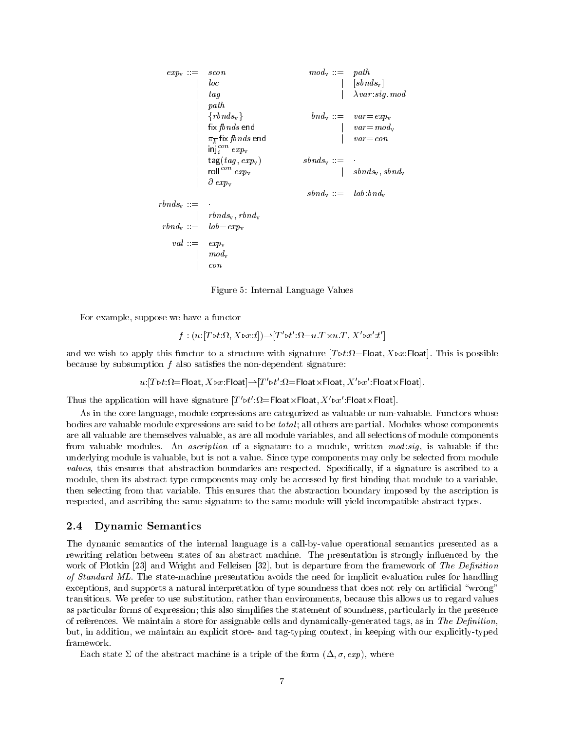

Figure 5: Internal Language Values

For example, suppose we have a functor

$$
f:(u:[T\triangleright t:\Omega,X\triangleright x:t])\rightarrow [T'\triangleright t':\Omega=u,T\times u,T,X'\triangleright x':t']
$$

and we wish to apply this functor to a structure with signature  $[T \triangleright t:\Omega = \mathsf{F}$  oat,  $X \triangleright x$ : Float]. This is possible because by subsumption  $f$  also satisfies the non-dependent signature:

$$
u:[T \triangleright t:\Omega = {\sf{F}}{\sf{loat}}, X \triangleright x: {\sf{F}}{\sf{loat}}] \rightarrow [T' \triangleright t': \Omega = {\sf{F}}{\sf{loat}} \times {\sf{F}}{\sf{loat}}, X' \triangleright x': {\sf{F}}{\sf{loat}} \times {\sf{F}}{\sf{loat}}].
$$

Thus the application will have signature  $|I|$  be  $M =$  Float  $\times$  Float,  $\Lambda$  be  $T$  :Float  $\times$  Float].

As in the core language, module expressions are categorized as valuable or non-valuable. Functors whose bodies are valuable module expressions are said to be total ; all others are partial. Modules whose components are all valuable are themselves valuable, as are all module variables, and all selections of module components from valuable modules. An *ascription* of a signature to a module, written  $mod: sig$ , is valuable if the underlying module is valuable, but is not a value. Since type components may only be selected from module values, this ensures that abstraction boundaries are respected. Specically, if a signature is ascribed to a module, then its abstract type components may only be accessed by first binding that module to a variable. then selecting from that variable. This ensures that the abstraction boundary imposed by the ascription is respected, and ascribing the same signature to the same module will yield incompatible abstract types.

### 2.4 Dynamic Semantics

The dynamic semantics of the internal language is a call-by-value operational semantics presented as a rewriting relation between states of an abstract machine. The presentation is strongly influenced by the work of Plotkin [23] and Wright and Felleisen [32], but is departure from the framework of The Definition of Standard ML. The state-machine presentation avoids the need for implicit evaluation rules for handling exceptions, and supports a natural interpretation of type soundness that does not rely on artificial "wrong" transitions. We prefer to use substitution, rather than environments, because this allows us to regard values as particular forms of expression; this also simplies the statement of soundness, particularly in the presence of references. We maintain a store for assignable cells and dynamically-generated tags, as in The Definition, but, in addition, we maintain an explicit store- and tag-typing context, in keeping with our explicitly-typed framework.

Each state  $\Sigma$  of the abstract machine is a triple of the form  $(\Delta, \sigma, exp)$ , where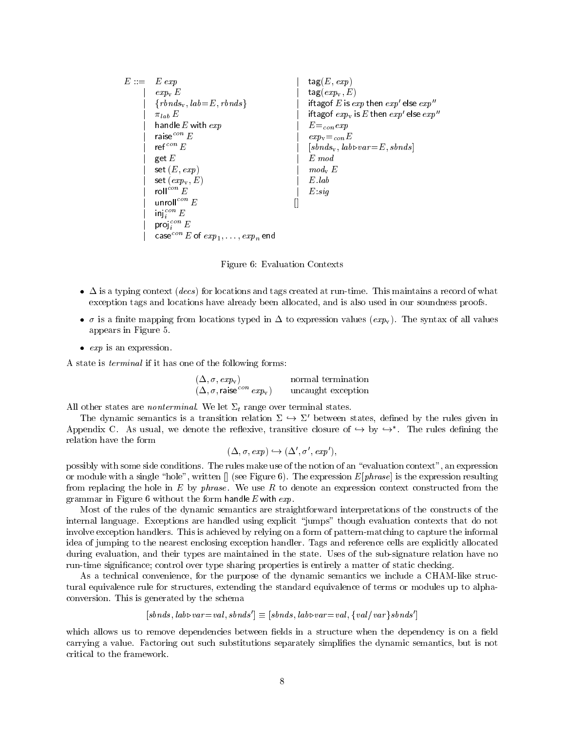<sup>E</sup> ::= <sup>E</sup> exp<sup>j</sup> tag(E ; exp) j expv <sup>E</sup> <sup>j</sup> tag(expv ; E) j frbndsv; lab=E ; rbnds<sup>g</sup> <sup>j</sup> iftagof <sup>E</sup> is exp then exp<sup>0</sup> else exp<sup>00</sup> j lab <sup>E</sup> <sup>j</sup> iftagof expv is <sup>E</sup> then exp<sup>0</sup> else exp<sup>00</sup> j handle <sup>E</sup> with exp <sup>j</sup> E=con exp j raisecon <sup>E</sup> <sup>j</sup> expv=conE j ref con <sup>E</sup> <sup>j</sup> [sbndsv; lab.var=E ; sbnds ] j get <sup>E</sup> <sup>j</sup> <sup>E</sup> mod j set (E ; exp) <sup>j</sup> modvj set (expv ; E) <sup>j</sup> E :lab j rollcon <sup>E</sup> <sup>j</sup> E:sig j unrollcon <sup>E</sup> [] j injcon <sup>i</sup> <sup>E</sup> j projcon <sup>i</sup> <sup>E</sup> jcasecon <sup>E</sup> of exp1;:::; expn end

Figure 6: Evaluation Contexts

- $\bullet$   $\Delta$  is a typing context (*decs* ) for locations and tags created at run-time. This maintains a record of what exception tags and locations have already been allocated, and is also used in our soundness proofs.
- $\bullet$   $\sigma$  is a nifite mapping from locations typed in  $\Delta$  to expression values (exp<sub>v</sub>). The syntax of all values appears in Figure 5.
- $\bullet$   $\exp$  is an expression.

A state is terminal if it has one of the following forms:

 $\sum_{i=1}^{\infty}$  exp $\sum_{i=1}^{\infty}$  is not interested. uncaught exception

All other states are *nonterminal*. We let  $\Sigma_t$  range over terminal states.

The dynamic semantics is a transition relation  $\Sigma \hookrightarrow \Sigma'$  between states, defined by the rules given in Appendix G. As usual, we denote the reflexive, transitive closure of  $\rightarrow$  by  $\rightarrow$  . The rules defining the relation have the form

$$
(\Delta, \sigma, exp) \hookrightarrow (\Delta', \sigma', exp'),
$$

possibly with some side conditions. The rules make use of the notion of an \evaluation context", an expression or module with a single "hole", written  $\parallel$  (see Figure 6). The expression  $E[phrase]$  is the expression resulting from replacing the hole in  $E$  by *phrase*. We use  $R$  to denote an expression context constructed from the grammar in Figure 6 without the form handle  $E$  with  $exp$ .

Most of the rules of the dynamic semantics are straightforward interpretations of the constructs of the internal language. Exceptions are handled using explicit \jumps" though evaluation contexts that do not involve exception handlers. This is achieved by relying on a form of pattern-matching to capture the informal idea of jumping to the nearest enclosing exception handler. Tags and reference cells are explicitly allocated during evaluation, and their types are maintained in the state. Uses of the sub-signature relation have no run-time signicance; control over type sharing properties is entirely a matter of static checking.

As a technical convenience, for the purpose of the dynamic semantics we include a CHAM-like structural equivalence rule for structures, extending the standard equivalence of terms or modules up to alphaconversion. This is generated by the schema

$$
[shnds, lab\triangleright var = val, shnds'] \equiv [shnds, lab\triangleright var = val, \{ val/var\} shnds']
$$

which allows us to remove dependencies between fields in a structure when the dependency is on a field carrying a value. Factoring out such substitutions separately simplies the dynamic semantics, but is not critical to the framework.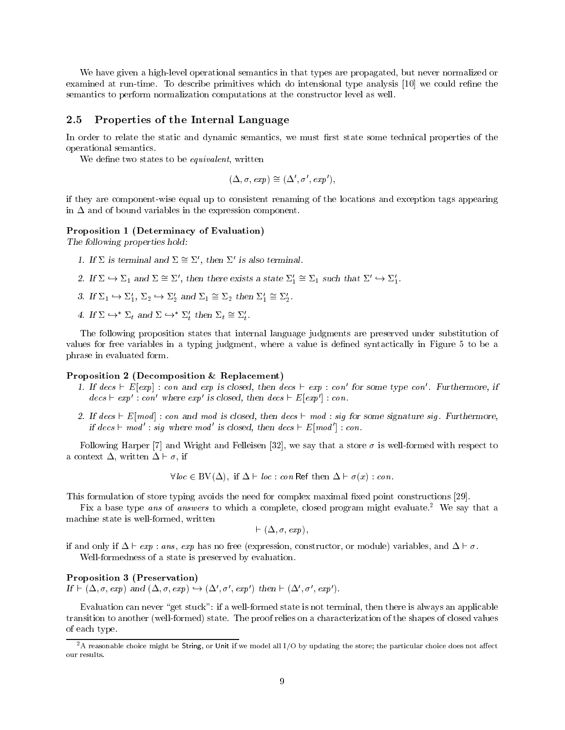We have given a high-level operational semantics in that types are propagated, but never normalized or examined at run-time. To describe primitives which do intensional type analysis [10] we could refine the semantics to perform normalization computations at the constructor level as well.

### 2.5 Properties of the Internal Language

In order to relate the static and dynamic semantics, we must first state some technical properties of the operational semantics.

We define two states to be *equivalent*, written

$$
(\Delta, \sigma, exp) \cong (\Delta', \sigma', exp'),
$$

if they are component-wise equal up to consistent renaming of the locations and exception tags appearing in  $\Delta$  and of bound variables in the expression component.

### Proposition 1 (Determinacy of Evaluation)

The following properties hold:

- 1. If  $\Sigma$  is terminal and  $\Sigma \cong \Sigma'$ , then  $\Sigma'$  is also terminal.
- 2. If  $\Sigma \hookrightarrow \Sigma_1$  and  $\Sigma \cong \Sigma'$ , then there exists a state  $\Sigma'_1 \cong \Sigma_1$  such that  $\Sigma' \hookrightarrow \Sigma'_1$ .
- 3. If  $\Sigma_1 \hookrightarrow \Sigma'_1$ ,  $\Sigma_2 \hookrightarrow \Sigma'_2$  and  $\Sigma_1 \cong \Sigma_2$  then  $\Sigma'_1 \cong \Sigma'_2$ .
- 4. If  $\Sigma \hookrightarrow^* \Sigma_t$  and  $\Sigma \hookrightarrow^* \Sigma'_t$  then  $\Sigma_t \cong \Sigma'_t$ .

The following proposition states that internal language judgments are preserved under substitution of values for free variables in a typing judgment, where a value is dened syntactically in Figure 5 to be a phrase in evaluated form.

### $\bf{1}$  represention  $\bf{2}$  (Decomposition  $\bf{\alpha}$  replacement)

- 1. If decs  $\models E[exp]$ : con and exp is closed, then decs  $\models exp :con'$  for some type con'. Furthermore, if  $desc + exp' : con' where exp' is closed, then desc + E[exp'] : con.$
- 2. If decs  $\vdash E[mod]$  : con and mod is closed, then decs  $\vdash \textit{mod}$  : sig for some signature sig. Furthermore, if decs  $\vdash$  mod : sig where mod is closed, then decs  $\vdash$  E|mod | : con.

Following Harper [7] and Wright and Felleisen [32], we say that a store  $\sigma$  is well-formed with respect to a context  $\Delta$ , written  $\Delta \vdash \sigma$ , if

$$
\forall loc \in BV(\Delta), \text{ if } \Delta \vdash loc : con \text{ Ref then } \Delta \vdash \sigma(x) : con.
$$

This formulation of store typing avoids the need for complex maximal fixed point constructions [29].

Fix a base type ans of answers to which a complete, closed program might evaluate.<sup>2</sup> We say that a machine state is well-formed, written

$$
\vdash (\Delta, \sigma, exp),
$$

if and only if  $\Delta \vdash exp : ans$ ,  $exp$  has no free (expression, constructor, or module) variables, and  $\Delta \vdash \sigma$ . Well-formedness of a state is preserved by evaluation.

### Proposition 3 (Preservation)

If  $\vdash (\Delta, \sigma, exp)$  and  $(\Delta, \sigma, exp) \hookrightarrow (\Delta', \sigma', exp')$  then  $\vdash (\Delta', \sigma', exp').$ 

Evaluation can never "get stuck": if a well-formed state is not terminal, then there is always an applicable transition to another (well-formed) state. The proof relies on a characterization of the shapes of closed values of each type.

 $2A$  reasonable choice might be String, or Unit if we model all I/O by updating the store; the particular choice does not affect our results.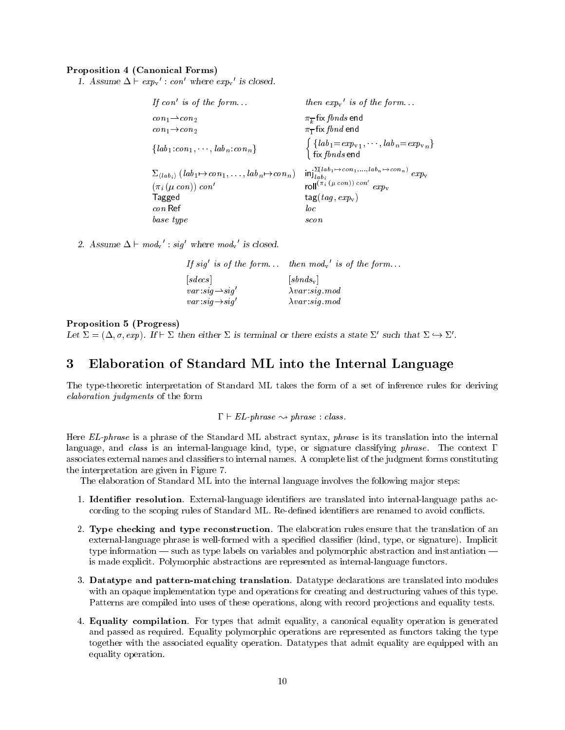### Proposition 4 (Canonical Forms)

1. Assume  $\Delta \vdash exp_v$  : con where  $exp_v$  is closed.

| If con' is of the form                                                                      | then $exp_v'$ is of the form                                                                                                        |
|---------------------------------------------------------------------------------------------|-------------------------------------------------------------------------------------------------------------------------------------|
| $con_1 \rightarrow con_2$                                                                   | $\pi_{\overline{k}}$ fix <i>fbnds</i> end                                                                                           |
| $con_1 \rightarrow con_2$                                                                   | $\pi$ <sup>-</sup> fix <i>fbnd</i> end                                                                                              |
| $\{lab_1con_1, \ldots, lab_ncon_n\}$                                                        | $\begin{cases} \{ lab_1 = exp_{v_1}, \cdots, lab_n = exp_{v_n} \} \\ \text{fix } \text{fb} n \text{d} s \text{ end} \end{cases}$    |
| $\Sigma_{\langle lab_i \rangle} (lab_1 \rightarrow con_1, \ldots, lab_n \rightarrow con_n)$ | $\inf_{l_1, l_2, l_3} \sum_{l_1, l_2, l_3} \left( \frac{l_1}{l_2 l_3 l_2} \cdots \frac{l_n}{l_n l_n l_n} \right) \exp_{\mathbf{v}}$ |
| $(\pi_i (\mu con)) con'$                                                                    | roll <sup>(<math>\pi_i(\mu \text{ con})</math>) con' <math>exp_v</math></sup>                                                       |
| Tagged                                                                                      | tag(tag, exp <sub>v</sub> )                                                                                                         |
| $\cos$ Ref                                                                                  | loc                                                                                                                                 |
| base type                                                                                   | scon                                                                                                                                |

2. Assume  $\Delta \vdash m$ od<sub>v</sub>: sig where mod<sub>v</sub> is closed.

|                            | If sig' is of the form then mod <sub>v</sub> ' is of the form |
|----------------------------|---------------------------------------------------------------|
| [sdecs]                    | $[shnds_{v}]$                                                 |
| var $sig \rightarrow sig'$ | $\lambda var \, sig \, mod$                                   |
| var $sig \rightarrow sig'$ | $\lambda var \, sig \, mod$                                   |

### Proposition 5 (Progress)

Let  $\Sigma = (\Delta, \sigma, exp)$ . If  $\vdash \Sigma$  then either  $\Sigma$  is terminal or there exists a state  $\Sigma'$  such that  $\Sigma \hookrightarrow \Sigma'$ .

## 3 Elaboration of Standard ML into the Internal Language

The type-theoretic interpretation of Standard ML takes the form of a set of inference rules for deriving elaboration judgments of the form

 $\Gamma \vdash EL\text{-}phrase \leadsto phrase : class.$ 

Here EL-phrase is a phrase of the Standard ML abstract syntax, phrase is its translation into the internal language, and class is an internal-language kind, type, or signature classifying *phrase*. The context  $\Gamma$ associates external names and classiers to internal names. A complete list of the judgment forms constituting the interpretation are given in Figure 7.

The elaboration of Standard ML into the internal language involves the following major steps:

- 1. **Identifier resolution**. External-language identifiers are translated into internal-language paths according to the scoping rules of Standard ML. Re-defined identifiers are renamed to avoid conflicts.
- 2. Type checking and type reconstruction. The elaboration rules ensure that the translation of an external-language phrase is well-formed with a specied classier (kind, type, or signature). Implicit type information  $-$  such as type labels on variables and polymorphic abstraction and instantiation  $$ is made explicit. Polymorphic abstractions are represented as internal-language functors.
- 3. Datatype and pattern-matching translation. Datatype declarations are translated into modules with an opaque implementation type and operations for creating and destructuring values of this type. Patterns are compiled into uses of these operations, along with record projections and equality tests.
- 4. Equality compilation. For types that admit equality, a canonical equality operation is generated and passed as required. Equality polymorphic operations are represented as functors taking the type together with the associated equality operation. Datatypes that admit equality are equipped with an equality operation.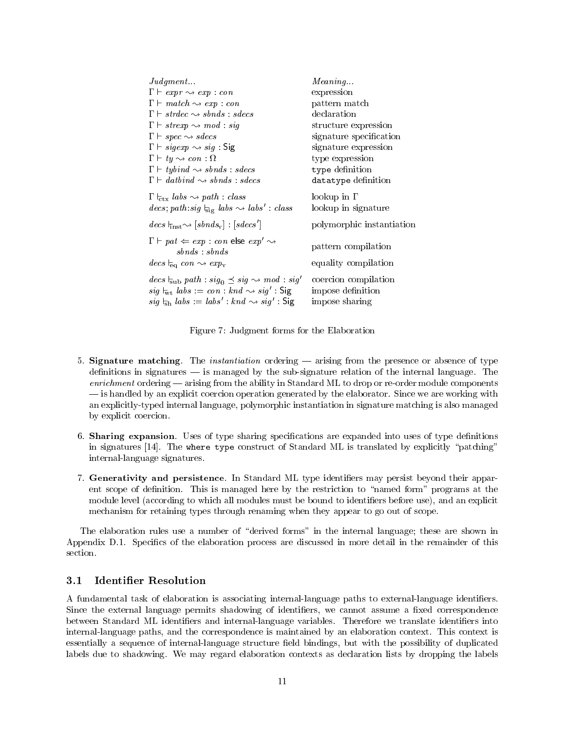| Judgment                                                                                                                                                                                                                            | Meaning                                                     |
|-------------------------------------------------------------------------------------------------------------------------------------------------------------------------------------------------------------------------------------|-------------------------------------------------------------|
| $\Gamma \vdash expr \leadsto exp:con$                                                                                                                                                                                               | expression                                                  |
| $\Gamma \vdash match \leadsto exp : con$                                                                                                                                                                                            | pattern match                                               |
| $\Gamma \vdash \mathit{strdec} \leadsto \mathit{shnds} : \mathit{sdecs}$                                                                                                                                                            | declaration                                                 |
| $\Gamma \vdash \textit{strexp} \rightsquigarrow \textit{mod} \cdot \textit{sig}$                                                                                                                                                    | structure expression                                        |
| $\Gamma \vdash spec \leadsto \textit{sdesc}$                                                                                                                                                                                        | signature specification                                     |
| $\Gamma \vdash \text{sigexp} \rightsquigarrow \text{sig}$ . Sig                                                                                                                                                                     | signature expression                                        |
| $\Gamma \vdash tv \rightsquigarrow con : \Omega$                                                                                                                                                                                    | type expression                                             |
| $\Gamma \vdash tybind \leadsto shnds$ sdecs                                                                                                                                                                                         | type definition                                             |
| $\Gamma \vdash \text{dational} \leadsto \text{shnds}$ : sdecs                                                                                                                                                                       | datatype definition                                         |
| $\Gamma \vdash_{\text{ctx}} \textit{labels} \rightsquigarrow \textit{path} : \textit{class}$<br>$desc$ ; path: sig $\overline{z}_{sig}$ labs $\sim$ labs': class                                                                    | lookup in $\Gamma$<br>lookup in signature                   |
| $decs \nightharpoonup$ <sub>Inst</sub> $\rightsquigarrow$ [sbnds <sub>v</sub> ] : [sdecs']                                                                                                                                          | polymorphic instantiation                                   |
| $\Gamma \vdash pat \Leftarrow exp : con$ else $exp' \rightsquigarrow$<br>$shnds = shnds$<br>$dec_s \varepsilon_{\text{eq}} con \leadsto exp_{\rm v}$                                                                                | pattern compilation<br>equality compilation                 |
| $decs \vDash_{\text{sub}} path : sig_0 \preceq sig \rightsquigarrow mod : sig'$<br>$sig \models_{\text{wt}} labs := con : knd \leadsto sig' : Sig$<br>$sig \models_{\text{sh}} labs := labs' \quad knd \rightsquigarrow sig'$ . Sig | coercion compilation<br>impose definition<br>impose sharing |

Figure 7: Judgment forms for the Elaboration

- 5. Signature matching. The *instantiation* ordering  $-$  arising from the presence or absence of type definitions in signatures  $-$  is managed by the sub-signature relation of the internal language. The  $enrichment$  ordering  $-$  arising from the ability in Standard ML to drop or re-order module components | is handled by an explicit coercion operation generated by the elaborator. Since we are working with an explicitly-typed internal language, polymorphic instantiation in signature matching is also managed by explicit coercion.
- 6. Sharing expansion. Uses of type sharing specifications are expanded into uses of type definitions in signatures  $[14]$ . The where type construct of Standard ML is translated by explicitly "patching" internal-language signatures.
- 7. Generativity and persistence. In Standard ML type identiers may persist beyond their apparent scope of definition. This is managed here by the restriction to "named form" programs at the module level (according to which all modules must be bound to identifiers before use), and an explicit mechanism for retaining types through renaming when they appear to go out of scope.

The elaboration rules use a number of "derived forms" in the internal language; these are shown in Appendix D.1. Specifics of the elaboration process are discussed in more detail in the remainder of this section.

### $3.1$ **Identifier Resolution**

A fundamental task of elaboration is associating internal-language paths to external-language identifiers. Since the external language permits shadowing of identifiers, we cannot assume a fixed correspondence between Standard ML identifiers and internal-language variables. Therefore we translate identifiers into internal-language paths, and the correspondence is maintained by an elaboration context. This context is essentially a sequence of internal-language structure field bindings, but with the possibility of duplicated labels due to shadowing. We may regard elaboration contexts as declaration lists by dropping the labels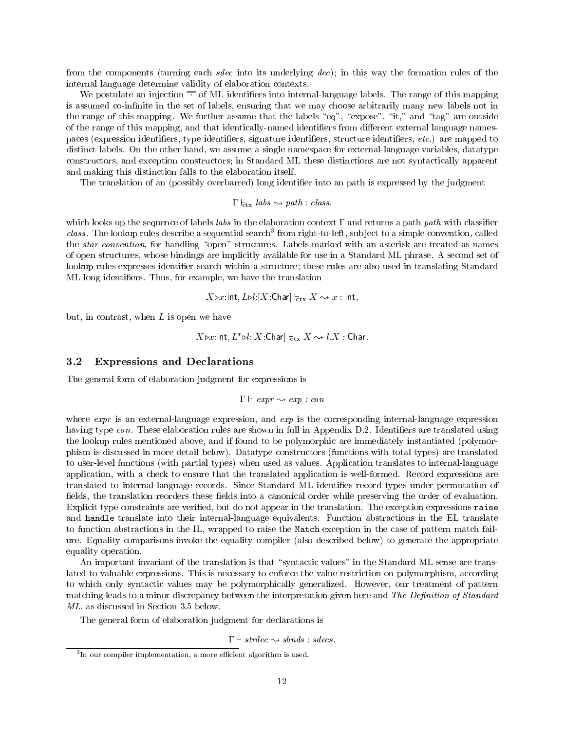from the components (turning each *sdec* into its underlying  $dec$ ); in this way the formation rules of the internal language determine validity of elaboration contexts.

We postulate an injection  $\overline{\phantom{a}}$  of ML identifiers into internal-language labels. The range of this mapping is assumed co-infinite in the set of labels, ensuring that we may choose arbitrarily many new labels not in the range of this mapping. We further assume that the labels "eq", "expose", "it," and "tag" are outside of the range of this mapping, and that identically-named identifiers from different external language namespaces (expression identifiers, type identifiers, signature identifiers, structure identifiers, etc.) are mapped to distinct labels. On the other hand, we assume a single namespace for external-language variables, datatype constructors, and exception constructors; in Standard ML these distinctions are not syntactically apparent and making this distinction falls to the elaboration itself.

The translation of an (possibly overbarred) long identifier into an path is expressed by the judgment

 $\Gamma$   $\vert_{\text{ctx}}$  labs  $\sim$  path : class,

which looks up the sequence of labels labs in the elaboration context  $\Gamma$  and returns a path path with classifier  $\it{class}$  . The lookup rules describe a sequential search from right-to-left, subject to a simple convention, called the *star convention*, for handling "open" structures. Labels marked with an asterisk are treated as names of open structures, whose bindings are implicitly available for use in a Standard ML phrase. A second set of lookup rules expresses identifier search within a structure; these rules are also used in translating Standard ML long identiers. Thus, for example, we have the translation

$$
X \triangleright x:\mathsf{Int}, L \triangleright l: [X:\mathsf{Char}] \models_{\mathsf{ctx}} X \rightsquigarrow x:\mathsf{Int},
$$

but, in contrast, when  $L$  is open we have

 $\Lambda$ D $x$ :Int,  $L$ : D $l:|\Lambda:$ Char $|$  For  $\chi: \Lambda \rightsquigarrow l: \Lambda:$  Char:

### 3.2 Expressions and Declarations

The general form of elaboration judgment for expressions is

$$
\Gamma \vdash expr \leadsto exp: con
$$

where  $expr$  is an external-language expression, and  $exp$  is the corresponding internal-language expression having type con. These elaboration rules are shown in full in Appendix D.2. Identifiers are translated using the lookup rules mentioned above, and if found to be polymorphic are immediately instantiated (polymorphism is discussed in more detail below). Datatype constructors (functions with total types) are translated to user-level functions (with partial types) when used as values. Application translates to internal-language application, with a check to ensure that the translated application is well-formed. Record expressions are translated to internal-language records. Since Standard ML identies record types under permutation of fields, the translation reorders these fields into a canonical order while preserving the order of evaluation. Explicit type constraints are veried, but do not appear in the translation. The exception expressions raise and handle translate into their internal-language equivalents. Function abstractions in the EL translate to function abstractions in the IL, wrapped to raise the Match exception in the case of pattern match failure. Equality comparisons invoke the equality compiler (also described below) to generate the appropriate equality operation.

An important invariant of the translation is that "syntactic values" in the Standard ML sense are translated to valuable expressions. This is necessary to enforce the value restriction on polymorphism, according to which only syntactic values may be polymorphically generalized. However, our treatment of pattern matching leads to a minor discrepancy between the interpretation given here and The Definition of Standard ML, as discussed in Section 3.5 below.

The general form of elaboration judgment for declarations is

 $\Gamma \vdash \mathit{strdec} \leadsto \mathit{shnds} : \mathit{sdesc}.$ 

th our compiler implementation, a more emclent algorithm is used.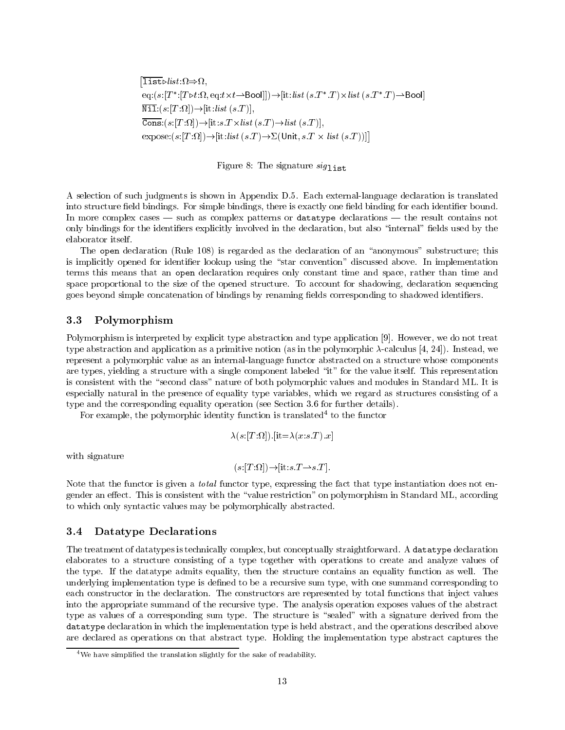$\sqrt{\text{list}}$ blist:  $\Omega \Rightarrow \Omega$ ,  $\text{eq}$ :(s:[T :T  $\text{p}$ [I  $\text{p}$ ],  $\text{eq}$ :(x)  $\rightarrow$   $\text{p}$ [OOI]])  $\rightarrow$   $\text{p}$ [I]  $\text{u}$ si (s:T  $\text{u}$ ]  $\rightarrow$   $\text{p}$ [OOI]  $N11:(S:|T:M|) \rightarrow |11:l1s1|(S:1)$ ], CONS:  $(s:|I|) \rightarrow |I(S,I \times l1s1 |S,I) \rightarrow l1s1 |S,I|)|$ ,  $\exp$ ose: $(s:[T:\Omega]) \rightarrow$  [it:*list*  $(s.T) \rightarrow \Sigma$ (Unit,  $s.T \times list(s.T))$ ]]

Figure 8: The signature  $sig_{1}$  ist

A selection of such judgments is shown in Appendix D.5. Each external-language declaration is translated into structure field bindings. For simple bindings, there is exactly one field binding for each identifier bound. In more complex cases  $-$  such as complex patterns or datatype declarations  $-$  the result contains not only bindings for the identifiers explicitly involved in the declaration, but also "internal" fields used by the elaborator itself.

The open declaration (Rule 108) is regarded as the declaration of an "anonymous" substructure; this is implicitly opened for identifier lookup using the "star convention" discussed above. In implementation terms this means that an open declaration requires only constant time and space, rather than time and space proportional to the size of the opened structure. To account for shadowing, declaration sequencing goes beyond simple concatenation of bindings by renaming fields corresponding to shadowed identifiers.

### 3.3 Polymorphism

Polymorphism is interpreted by explicit type abstraction and type application [9]. However, we do not treat type abstraction and application as a primitive notion (as in the polymorphic  $\lambda$ -calculus [4, 24]). Instead, we represent a polymorphic value as an internal-language functor abstracted on a structure whose components are types, yielding a structure with a single component labeled \it" for the value itself. This representation is consistent with the "second class" nature of both polymorphic values and modules in Standard ML. It is especially natural in the presence of equality type variables, which we regard as structures consisting of a type and the corresponding equality operation (see Section 3.6 for further details).

For example, the polymorphic identity function is translated4 to the functor

$$
\lambda(s\!:\![T\!:\!\Omega])\!\!. \left[\mathrm{it}\!=\!\lambda(x\!:\!s\mathbin{.}T\mathbin{).}x\right]
$$

with signature

$$
(s:[T:\Omega]) \to [it:s,T \to s.T].
$$

Note that the functor is given a *total* functor type, expressing the fact that type instantiation does not engender an effect. This is consistent with the "value restriction" on polymorphism in Standard ML, according to which only syntactic values may be polymorphically abstracted.

### 3.4 Datatype Declarations

The treatment of datatypes is technically complex, but conceptually straightforward. A datatype declaration elaborates to a structure consisting of a type together with operations to create and analyze values of the type. If the datatype admits equality, then the structure contains an equality function as well. The underlying implementation type is dened to be a recursive sum type, with one summand corresponding to each constructor in the declaration. The constructors are represented by total functions that inject values into the appropriate summand of the recursive type. The analysis operation exposes values of the abstract type as values of a corresponding sum type. The structure is "sealed" with a signature derived from the datatype declaration in which the implementation type is held abstract, and the operations described above are declared as operations on that abstract type. Holding the implementation type abstract captures the

<sup>4</sup>We have simplied the translation slightly for the sake of readability.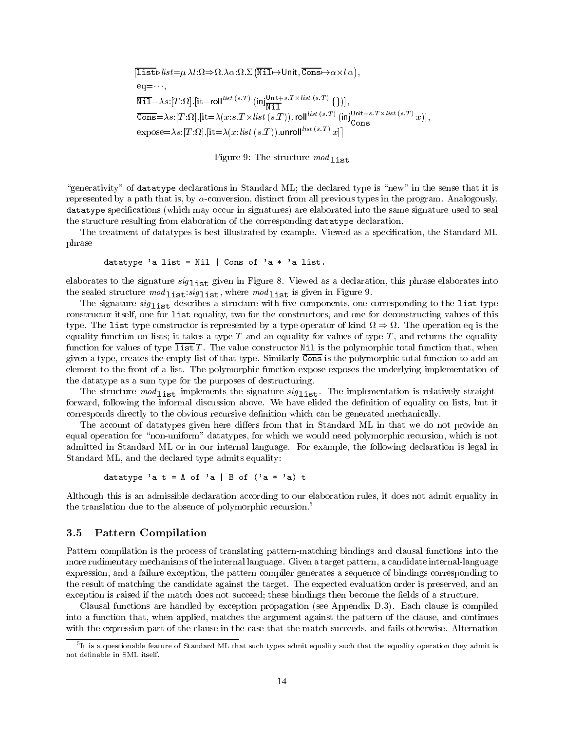$\pi$  (list  $\Rightarrow$  list  $=\mu \lambda! \: \Omega \Rightarrow \Omega \: \lambda \alpha \: \Omega \: \Sigma$  (Nil $\rightarrow$ Unit, Cons $\mapsto \alpha \times l \: \alpha$ ),  $ea = \cdots$  $\text{Nil} = \lambda s: [T : \Omega] \cdot [\text{It} = \text{roll}^{\text{max}} \stackrel{(s.t.)}{\ldots} (\text{inj} \frac{\text{max}}{\text{Nil}} \stackrel{(s.t.)}{\ldots} \stackrel{(s.t.)}{\ldots} \{ \} )],$ Cons =  $\lambda s$ : [T:si].  $\left[$ it =  $\lambda(x:s.T \times \text{list}(s.T))$ . rollistic (six) (inj  $\frac{1}{\text{Cons}}$   $\frac{\text{max}(s.t.)}{x}$   $x$ )],  $\exp$ ose $=\lambda s$ :  $[T:\Omega]$ . [it  $=\lambda(x:list(s,T))$ . unroll $^{list(s,T)}x$ ]]

Figure 9: The structure  $mod_{1}$ ist

"generativity" of datatype declarations in Standard ML; the declared type is "new" in the sense that it is represented by a path that is, by  $\alpha$ -conversion, distinct from all previous types in the program. Analogously, datatype specications (which may occur in signatures) are elaborated into the same signature used to seal the structure resulting from elaboration of the corresponding datatype declaration.

The treatment of datatypes is best illustrated by example. Viewed as a specification, the Standard ML phrase

$$
datatype 'a list = Nil | Cons of 'a * 'a list.
$$

elaborates to the signature sig list given in Figure 8. Viewed as a declaration, this phrase elaborates into the sealed structure mod list:sig list, where mod list is given in Figure 9.

The signature sig list describes a structure with ve components, one corresponding to the list type constructor itself, one for list equality, two for the constructors, and one for deconstructing values of this type. Ine list type constructor is represented by a type operator of kind  $\iota \Rightarrow \iota \iota$ . The operation eq is the equality function on lists; it takes a type  $T$  and an equality for values of type  $T$ , and returns the equality function for values of type  $\overline{\text{list}} T$ . The value constructor Nil is the polymorphic total function that, when given a type, creates the empty list of that type. Similarly Cons is the polymorphic total function to add an element to the front of a list. The polymorphic function expose exposes the underlying implementation of the datatype as a sum type for the purposes of destructuring.

The structure modellist implementation is signature signature signature  $\mathbf{r}_1$ forward, following the informal discussion above. We have elided the definition of equality on lists, but it corresponds directly to the obvious recursive definition which can be generated mechanically.

The account of datatypes given here differs from that in Standard ML in that we do not provide an equal operation for "non-uniform" datatypes, for which we would need polymorphic recursion, which is not admitted in Standard ML or in our internal language. For example, the following declaration is legal in Standard ML, and the declared type admits equality:

datatype 'a t = A of 'a | B of ('a \* 'a) t

Although this is an admissible declaration according to our elaboration rules, it does not admit equality in the translation due to the absence of polymorphic recursion.5

### 3.5 Pattern Compilation

Pattern compilation is the process of translating pattern-matching bindings and clausal functions into the more rudimentary mechanisms of the internal language. Given a target pattern, a candidate internal-language expression, and a failure exception, the pattern compiler generates a sequence of bindings corresponding to the result of matching the candidate against the target. The expected evaluation order is preserved, and an exception is raised if the match does not succeed; these bindings then become the fields of a structure.

Clausal functions are handled by exception propagation (see Appendix D.3). Each clause is compiled into a function that, when applied, matches the argument against the pattern of the clause, and continues with the expression part of the clause in the case that the match succeeds, and fails otherwise. Alternation

<sup>5</sup> It is a questionable feature of Standard ML that such types admit equality such that the equality operation they admit is not definable in SML itself.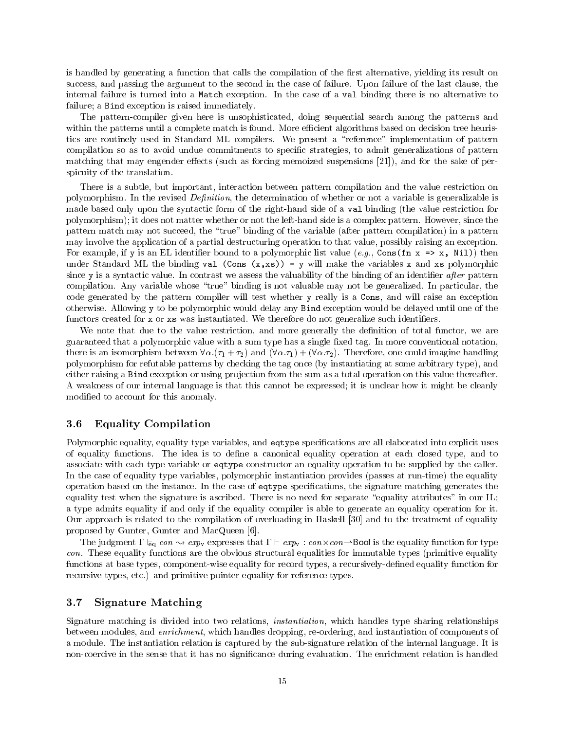is handled by generating a function that calls the compilation of the first alternative, yielding its result on success, and passing the argument to the second in the case of failure. Upon failure of the last clause, the internal failure is turned into a Match exception. In the case of a val binding there is no alternative to failure; a Bind exception is raised immediately.

The pattern-compiler given here is unsophisticated, doing sequential search among the patterns and within the patterns until a complete match is found. More efficient algorithms based on decision tree heuristics are routinely used in Standard ML compilers. We present a "reference" implementation of pattern compilation so as to avoid undue commitments to specic strategies, to admit generalizations of pattern matching that may engender effects (such as forcing memoized suspensions [21]), and for the sake of perspicuity of the translation.

There is a subtle, but important, interaction between pattern compilation and the value restriction on polymorphism. In the revised *Definition*, the determination of whether or not a variable is generalizable is made based only upon the syntactic form of the right-hand side of a val binding (the value restriction for polymorphism); it does not matter whether or not the left-hand side is a complex pattern. However, since the pattern match may not succeed, the \true" binding of the variable (after pattern compilation) in a pattern may involve the application of a partial destructuring operation to that value, possibly raising an exception. For example, if y is an EL identifier bound to a polymorphic list value (e.g., Cons (fn x => x, Nil)) then under Standard ML the binding val (Cons  $(x, xs)$ ) = y will make the variables x and xs polymorphic since  $y$  is a syntactic value. In contrast we assess the valuability of the binding of an identifier *after* pattern compilation. Any variable whose \true" binding is not valuable may not be generalized. In particular, the code generated by the pattern compiler will test whether y really is a Cons, and willraise an exception otherwise. Allowing y to be polymorphic would delay any Bind exception would be delayed until one of the functors created for x or xs was instantiated. We therefore do not generalize such identifiers.

We note that due to the value restriction, and more generally the definition of total functor, we are guaranteed that a polymorphic value with a sum type has a single fixed tag. In more conventional notation, there is an isomorphism between  $\mathsf{v}\alpha.(\tau_1 + \tau_2)$  and  $(\mathsf{v}\alpha.\tau_1) + (\mathsf{v}\alpha.\tau_2)$ . Therefore, one could imagine handling polymorphism for refutable patterns by checking the tag once (by instantiating at some arbitrary type), and either raising a Bind exception or using projection from the sum as a total operation on this value thereafter. A weakness of our internal language is that this cannot be expressed; it is unclear how it might be cleanly modied to account for this anomaly.

### 3.6 Equality Compilation

Polymorphic equality, equality type variables, and eqtype specifications are all elaborated into explicit uses of equality functions. The idea is to dene a canonical equality operation at each closed type, and to associate with each type variable or eqtype constructor an equality operation to be supplied by the caller. In the case of equality type variables, polymorphic instantiation provides (passes at run-time) the equality operation based on the instance. In the case of eqtype specications, the signature matching generates the equality test when the signature is ascribed. There is no need for separate "equality attributes" in our IL; a type admits equality if and only if the equality compiler is able to generate an equality operation for it. Our approach is related to the compilation of overloading in Haskell [30] and to the treatment of equality proposed by Gunter, Gunter and MacQueen [6].

The judgment  $\Gamma$   $\approx$   $con \infty$   $\exp$  expresses that  $\Gamma \vdash exp$  :  $con \times con \rightarrow$  Dool is the equality function for type con. These equality functions are the obvious structural equalities for immutable types (primitive equality functions at base types, component-wise equality for record types, a recursively-defined equality function for recursive types, etc.) and primitive pointer equality for reference types.

### 3.7 Signature Matching

Signature matching is divided into two relations, instantiation, which handles type sharing relationships between modules, and enrichment, which handles dropping, re-ordering, and instantiation of components of a module. The instantiation relation is captured by the sub-signature relation of the internal language. It is non-coercive in the sense that it has no signicance during evaluation. The enrichment relation is handled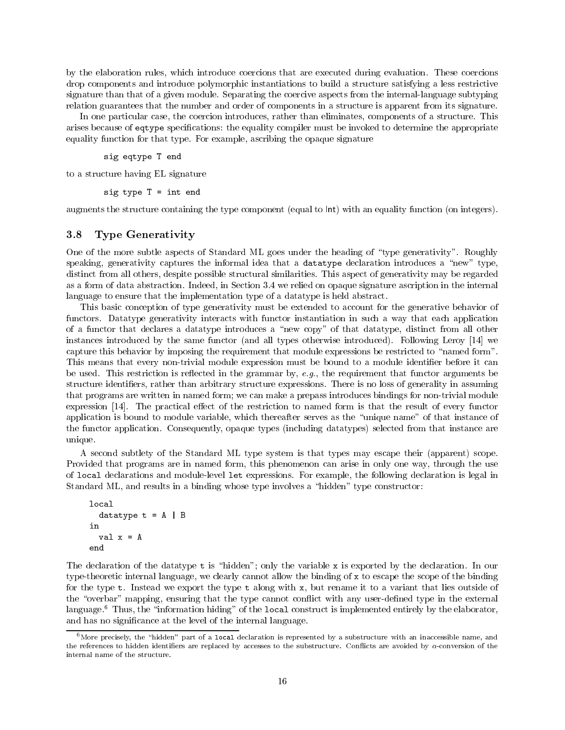by the elaboration rules, which introduce coercions that are executed during evaluation. These coercions drop components and introduce polymorphic instantiations to build a structure satisfying a less restrictive signature than that of a given module. Separating the coercive aspects from the internal-language subtyping relation guarantees that the number and order of components in a structure is apparent from its signature.

In one particular case, the coercion introduces, rather than eliminates, components of a structure. This arises because of eqtype specications: the equality compiler must be invoked to determine the appropriate equality function for that type. For example, ascribing the opaque signature

sig eqtype T end

to a structure having EL signature

sig type  $T = int$  end

augments the structure containing the type component (equal to Int) with an equality function (on integers).

### 3.8 Type Generativity

One of the more subtle aspects of Standard ML goes under the heading of "type generativity". Roughly speaking, generativity captures the informal idea that a datatype declaration introduces a "new" type, distinct from all others, despite possible structural similarities. This aspect of generativity may be regarded as a form of data abstraction. Indeed, in Section 3.4 we relied on opaque signature ascription in the internal language to ensure that the implementation type of a datatype is held abstract.

This basic conception of type generativity must be extended to account for the generative behavior of functors. Datatype generativity interacts with functor instantiation in such a way that each application of a functor that declares a datatype introduces a "new copy" of that datatype, distinct from all other instances introduced by the same functor (and all types otherwise introduced). Following Leroy [14] we capture this behavior by imposing the requirement that module expressions be restricted to "named form". This means that every non-trivial module expression must be bound to a module identifier before it can be used. This restriction is reflected in the grammar by,  $e.g.,$  the requirement that functor arguments be structure identiers, rather than arbitrary structure expressions. There is no loss of generality in assuming that programs are written in named form; we can make a prepass introduces bindings for non-trivial module expression  $[14]$ . The practical effect of the restriction to named form is that the result of every functor application is bound to module variable, which thereafter serves as the \unique name" of that instance of the functor application. Consequently, opaque types (including datatypes) selected from that instance are unique.

A second subtlety of the Standard ML type system is that types may escape their (apparent) scope. Provided that programs are in named form, this phenomenon can arise in only one way, through the use of local declarations and module-level let expressions. For example, the following declaration is legal in Standard ML, and results in a binding whose type involves a "hidden" type constructor:

```
local
  datatype t = A \mid Bin
  val x = A
```
The declaration of the datatype  $t$  is "hidden"; only the variable x is exported by the declaration. In our type-theoretic internal language, we clearly cannot allow the binding of x to escape the scope of the binding for the type t.Instead we export the type t along with x, but rename it to a variant that lies outside of the "overbar" mapping, ensuring that the type cannot conflict with any user-defined type in the external language.<sup>6</sup> Thus, the "information hiding" of the local construct is implemented entirely by the elaborator, and has no signicance at the level of the internal language.

 $^6$ More precisely, the "hidden" part of a local declaration is represented by a substructure with an inaccessible name, and the references to hidden identifiers are replaced by accesses to the substructure. Conflicts are avoided by  $\alpha$ -conversion of the internal name of the structure.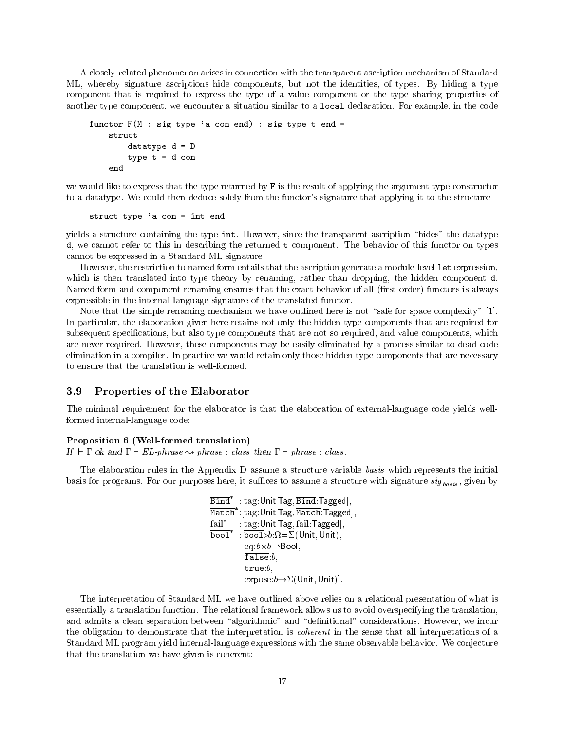A closely-related phenomenon arises in connection with the transparent ascription mechanism of Standard ML, whereby signature ascriptions hide components, but not the identities, of types. By hiding a type component that is required to express the type of a value component or the type sharing properties of another type component, we encounter a situation similar to a local declaration. For example, in the code

```
functor F(M : sig type 'a con end) : sig type t end =
    struct
        datatype d = D
        type t = d con
    end
```
we would like to express that the type returned by F is the result of applying the argument type constructor to a datatype. We could then deduce solely from the functor's signature that applying it to the structure

struct type 'a con = int end

yields a structure containing the type int. However, since the transparent ascription \hides" the datatype d, we cannot refer to this in describing the returned t component. The behavior of this functor on types cannot be expressed in a Standard ML signature.

However, the restriction to named form entails that the ascription generate a module-level let expression, which is then translated into type theory by renaming, rather than dropping, the hidden component d. Named form and component renaming ensures that the exact behavior of all (first-order) functors is always expressible in the internal-language signature of the translated functor.

Note that the simple renaming mechanism we have outlined here is not "safe for space complexity" [1]. In particular, the elaboration given here retains not only the hidden type components that are required for subsequent specifications, but also type components that are not so required, and value components, which are never required. However, these components may be easily eliminated by a process similar to dead code elimination in a compiler. In practice we would retain only those hidden type components that are necessary to ensure that the translation is well-formed.

### 3.9 Properties of the Elaborator

The minimal requirement for the elaborator is that the elaboration of external-language code yields wellformed internal-language code:

### Proposition 6 (Well-formed translation)

If  $\vdash \Gamma$  ok and  $\Gamma \vdash EL\text{-}phrase \rightsquigarrow phrase : class then \Gamma \vdash phrase : class$ .

The elaboration rules in the Appendix D assume a structure variable basis which represents the initial basis for programs. For our purposes here, it suces to assume a structure with signature sig basis , given by

```
|Bind : |tag:Unit Tag; Bind: Tagged].
Match :Itag:Unit Tag,Match:TaggedL
fail<sup>*</sup>
           :[tag:Unit Tag; fail:Tagged]; <code>bool :</code>|<code>bool</code>\triangleright b:\Omega = \Sigma(<code>Unit,Unit</code>),
             eq: \theta \times \theta \longrightarrowDOOI,
             false:b,
             true:b,
             \expose:b \rightarrow \Sigma(Unit, Unit)].
```
The interpretation of Standard ML we have outlined above relies on a relational presentation of what is essentially a translation function. The relational framework allows us to avoid overspecifying the translation, and admits a clean separation between "algorithmic" and "definitional" considerations. However, we incur the obligation to demonstrate that the interpretation is coherent in the sense that all interpretations of a Standard ML program yield internal-language expressions with the same observable behavior. We conjecture that the translation we have given is coherent: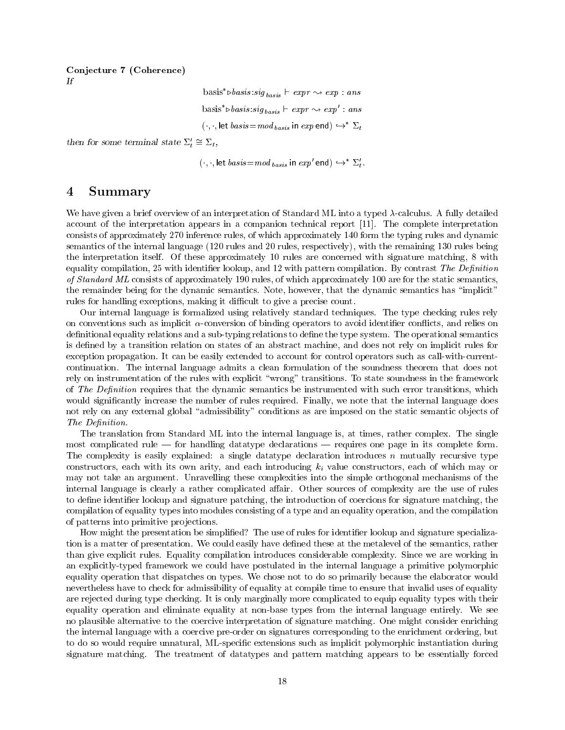# Conjecture 7 (Coherence)

basis  $\triangleright$ basis :sig  $_{basis} \vdash expr \rightsquigarrow exp : ans$ 

 $(y, \cdot)$ , let  $\textit{basis} = \textit{mod}_{\textit{basis}}$  in  $\textit{exp}$  end  $y \rightarrow z_t$ 

basis  $\triangleright$ basis.sig  $_{basis}$   $\vdash$  expr  $\rightsquigarrow$  exp : ans

:

then for some terminal state  $\Sigma'_t \cong \Sigma_t$ ,

$$
(
$$
, , let  $basis = mod_{ basis}$  in  $exp'$  end $) \hookrightarrow^* \Sigma'_t$ .

## 4 Summary

We have given a brief overview of an interpretation of Standard ML into a typed  $\lambda$ -calculus. A fully detailed account of the interpretation appears in a companion technical report [11]. The complete interpretation consists of approximately 270 inference rules, of which approximately 140 form the typing rules and dynamic semantics of the internal language (120 rules and 20 rules, respectively), with the remaining 130 rules being the interpretation itself. Of these approximately 10 rules are concerned with signature matching, 8 with equality compilation, 25 with identifier lookup, and 12 with pattern compilation. By contrast The Definition of Standard ML consists of approximately 190 rules, of which approximately 100 are for the static semantics, the remainder being for the dynamic semantics. Note, however, that the dynamic semantics has \implicit" rules for handling exceptions, making it difficult to give a precise count.

Our internal language is formalized using relatively standard techniques. The type checking rules rely on conventions such as implicit  $\alpha$ -conversion of binding operators to avoid identifier conflicts, and relies on definitional equality relations and a sub-typing relations to define the type system. The operational semantics is defined by a transition relation on states of an abstract machine, and does not rely on implicit rules for exception propagation. It can be easily extended to account for control operators such as call-with-currentcontinuation. The internal language admits a clean formulation of the soundness theorem that does not rely on instrumentation of the rules with explicit "wrong" transitions. To state soundness in the framework of The Definition requires that the dynamic semantics be instrumented with such error transitions, which would significantly increase the number of rules required. Finally, we note that the internal language does not rely on any external global "admissibility" conditions as are imposed on the static semantic objects of The Definition.

The translation from Standard ML into the internal language is, at times, rather complex. The single most complicated rule  $-$  for handling datatype declarations  $-$  requires one page in its complete form. The complexity is easily explained: a single datatype declaration introduces  $n$  mutually recursive type constructors, each with its own arity, and each introducing  $k_i$  value constructors, each of which may or may not take an argument. Unravelling these complexities into the simple orthogonal mechanisms of the internal language is clearly a rather complicated affair. Other sources of complexity are the use of rules to define identifier lookup and signature patching, the introduction of coercions for signature matching, the compilation of equality types into modules consisting of a type and an equality operation, and the compilation of patterns into primitive pro jections.

How might the presentation be simplied? The use of rules for identier lookup and signature specialization is a matter of presentation. We could easily have dened these at the metalevel of the semantics, rather than give explicit rules. Equality compilation introduces considerable complexity. Since we are working in an explicitly-typed framework we could have postulated in the internal language a primitive polymorphic equality operation that dispatches on types. We chose not to do so primarily because the elaborator would nevertheless have to check for admissibility of equality at compile time to ensure that invalid uses of equality are rejected during type checking. It is only marginally more complicated to equip equality types with their equality operation and eliminate equality at non-base types from the internal language entirely. We see no plausible alternative to the coercive interpretation of signature matching. One might consider enriching the internal language with a coercive pre-order on signatures corresponding to the enrichment ordering, but to do so would require unnatural, ML-specic extensions such as implicit polymorphic instantiation during signature matching. The treatment of datatypes and pattern matching appears to be essentially forced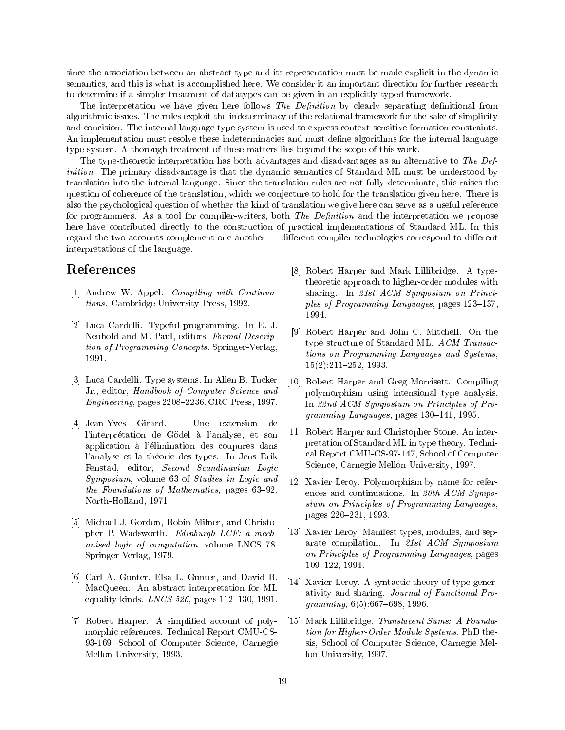since the association between an abstract type and its representation must be made explicit in the dynamic semantics, and this is what is accomplished here. We consider it an important direction for further research to determine if a simpler treatment of datatypes can be given in an explicitly-typed framework.

The interpretation we have given here follows The Definition by clearly separating definitional from algorithmic issues. The rules exploit the indeterminacy of the relational framework for the sake of simplicity and concision. The internal language type system is used to express context-sensitive formation constraints. An implementation must resolve these indeterminacies and must define algorithms for the internal language type system. A thorough treatment of these matters lies beyond the scope of this work.

The type-theoretic interpretation has both advantages and disadvantages as an alternative to The Definition. The primary disadvantage is that the dynamic semantics of Standard ML must be understood by translation into the internal language. Since the translation rules are not fully determinate, this raises the question of coherence of the translation, which we conjecture to hold for the translation given here. There is also the psychological question of whether the kind of translation we give here can serve as a useful reference for programmers. As a tool for compiler-writers, both The Definition and the interpretation we propose here have contributed directly to the construction of practical implementations of Standard ML. In this regard the two accounts complement one another — different compiler technologies correspond to different interpretations of the language.

## References

- [1] Andrew W. Appel. Compiling with Continuations. Cambridge University Press, 1992.
- [2] Luca Cardelli. Typeful programming. In E. J. Neuhold and M. Paul, editors, Formal Description of Programming Concepts. Springer-Verlag, 1991.
- [3] Luca Cardelli. Type systems. In Allen B. Tucker Jr., editor, Handbook of Computer Science and  $Enqineering$ , pages  $2208-2236$ . CRC Press, 1997.
- [4] Jean-Yves Girard. Une extension de l'interprétation de Gödel à l'analyse, et son application a l'elimination des coupures dans l'analyse et la theorie des types. In Jens Erik Fenstad, editor, Second Scandinavian Logic Symposium, volume 63 of Studies in Logic and the Foundations of Mathematics, pages  $63-92$ . North-Holland, 1971.
- [5] Michael J. Gordon, Robin Milner, and Christopher P. Wadsworth. Edinburgh LCF: a mechanised logic of computation, volume LNCS 78. Springer-Verlag, 1979.
- [6] Carl A. Gunter, Elsa L. Gunter, and David B. MacQueen. An abstract interpretation for ML equality kinds.  $LNCS$  526, pages 112–130, 1991.
- [7] Robert Harper. A simplied account of polymorphic references. Technical Report CMU-CS-93-169, School of Computer Science, Carnegie Mellon University, 1993.
- [8] Robert Harper and Mark Lillibridge. A typetheoretic approach to higher-order modules with sharing. In 21st ACM Symposium on Principles of Programming Languages, pages  $123-137$ ,
- [9] Robert Harper and John C. Mitchell. On the type structure of Standard ML. ACM Transactions on Programming Languages and Systems,  $15(2):211-252, 1993.$
- [10] Robert Harper and Greg Morrisett. Compiling polymorphism using intensional type analysis. In 22nd ACM Symposium on Principles of Programming Languages, pages 130-141, 1995.
- [11] Robert Harper and Christopher Stone. An interpretation of Standard ML in type theory. Technical Report CMU-CS-97-147, School of Computer Science, Carnegie Mellon University, 1997.
- [12] Xavier Leroy. Polymorphism by name for references and continuations. In 20th ACM Symposium on Principles of Programming Languages, pages 220-231, 1993.
- [13] Xavier Leroy. Manifest types, modules, and separate compilation. In 21st ACM Symposium on Principles of Programming Languages, pages 109-122, 1994.
- [14] Xavier Leroy. A syntactic theory of type generativity and sharing. Journal of Functional Pro $gramming, 6(5): 667–698, 1996.$
- [15] Mark Lillibridge. Translucent Sums: A Foundation for Higher-Order Module Systems. PhD thesis, School of Computer Science, Carnegie Mellon University, 1997.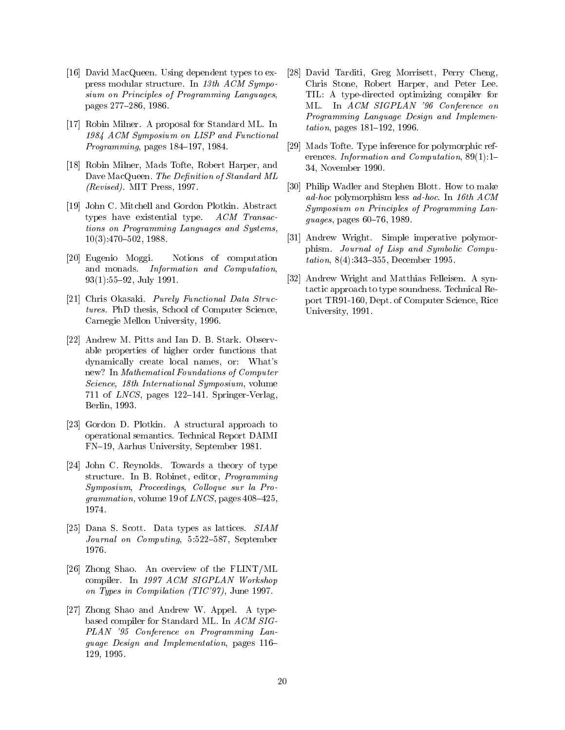- [16] David MacQueen. Using dependent types to express modular structure. In 13th ACM Symposium on Principles of Programming Languages, pages 277-286, 1986.
- [17] Robin Milner. A proposal for Standard ML. In 1984 ACM Symposium on LISP and Functional  $Programming$ , pages 184-197, 1984.
- [18] Robin Milner, Mads Tofte, Robert Harper, and Dave MacQueen. The Definition of Standard ML (Revised). MIT Press, 1997.
- [19] John C. Mitchell and Gordon Plotkin. Abstract types have existential type. ACM Transactions on Programming Languages and Systems,  $10(3):470{-}502, 1988.$
- [20] Eugenio Moggi. Notions of computation and monads. Information and Computation,  $93(1):55{-}92$ , July 1991.
- [21] Chris Okasaki. Purely Functional Data Structures. PhD thesis, School of Computer Science, Carnegie Mellon University, 1996.
- [22] Andrew M. Pitts and Ian D. B. Stark. Observable properties of higher order functions that dynamically create local names, or: What's new? In Mathematical Foundations of Computer Science, 18th International Symposium, volume 711 of *LNCS*, pages  $122-141$ . Springer-Verlag, Berlin, 1993.
- [23] Gordon D. Plotkin. A structural approach to operational semantics. Technical Report DAIMI FN{19, Aarhus University, September 1981.
- [24] John C. Reynolds. Towards a theory of type structure. In B. Robinet, editor, Programming Symposium, Proceedings, Colloque sur la Pro*grammation*, volume 19 of *LNCS*, pages  $408–425$ , 1974.
- [25] Dana S. Scott. Data types as lattices. SIAM Journal on  $Computing$ , 5:522-587, September 1976.
- [26] Zhong Shao. An overview of the FLINT/ML compiler. In 1997 ACM SIGPLAN Workshop on Types in Compilation (TIC'97), June 1997.
- [27] Zhong Shao and Andrew W. Appel. A typebased compiler for Standard ML. In ACM SIG-PLAN '95 Conference on Programming Language Design and Implementation, pages  $116-$ 129, 1995.
- [28] David Tarditi, Greg Morrisett, Perry Cheng, Chris Stone, Robert Harper, and Peter Lee. TIL: A type-directed optimizing compiler for ML. In ACM SIGPLAN '96 Conference on Programming Language Design and Implemen $tation, pages 181–192, 1996.$
- [29] Mads Tofte. Type inference for polymorphic references. Information and Computation, 89(1):1-34, November 1990.
- [30] Philip Wadler and Stephen Blott. How to make ad-hoc polymorphism less ad-hoc. In 16th ACM Symposium on Principles of Programming Lan $quages$ , pages  $60-76$ , 1989.
- [31] Andrew Wright. Simple imperative polymorphism. Journal of Lisp and Symbolic Computation,  $8(4)$ : 343-355, December 1995.
- [32] Andrew Wright and Matthias Felleisen. A syntactic approach to type soundness. Technical Report TR91-160, Dept. of Computer Science, Rice University, 1991.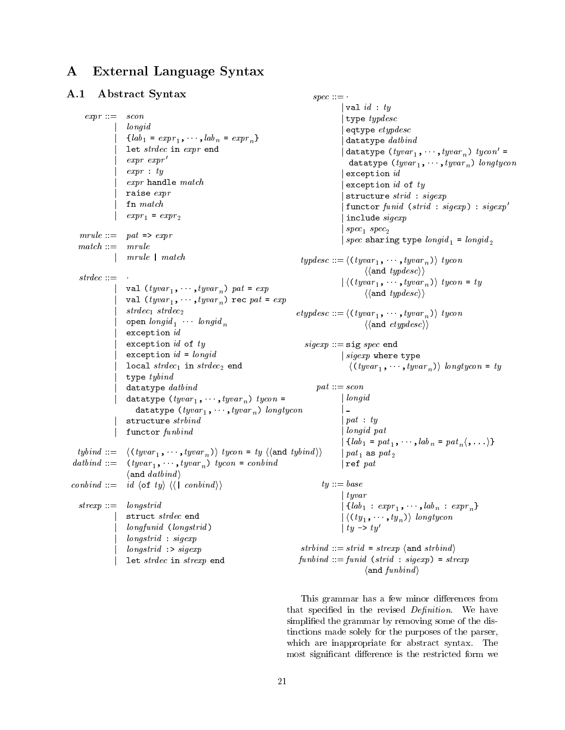## A External Language Syntax

### $\mathbf{A}.\mathbf{1}$ Abstract Syntax

```
expr ::= scon
                  j longid
                  je predstavlja
                        \lambda_1 u_0 = exp r_1, \quad \lambda_2 u_0 = exp r_nje predstavlja
                        let strdec in expr end
                  je predstavlja
                       expr \; expr'j expr : ty
                  j expr handle match
                  j raise expr
                  j fn match
                  jexpression and \mathbf{r} \cdot \mathbf{1} and \mathbf{r} \cdot \mathbf{2} and \mathbf{r} \cdot \mathbf{1}\overline{\phantom{a}}mrule := pat \Rightarrow exprmatch ::= mrule
                  j mrule | match
   strdec ::=je predstavlja
                        val \langle \textit{tyvar}_1, \dots, \textit{tyvar}_n \rangle pat = \expjval (tyvar_1, , tyvar_n) rec pat = exp
                  jstrate <sub>1</sub> strategy in the case of the control of the control of the control of the control of the control of the control of the control of the control of the control of the control of the control of the control of the con
                  jopen l\emph{onyu}_1 \emph{~~} longi\emph{u}_nj exception id
                  jexception id of tyjexception id = longidje predstavlja
                         local strdec1 in strdec2 end
                  je predstavlja
                        type tybind
                  j datatype datbind
                  jdatatype (tyvar_1, \cdots, tyvar_n) tycon =
                            datatype (tyvar_1, \cdot\cdot\cdot,tyvar_n) longtycon
                  j structure strbind
                  j functor funbind
  tybina ::= \langle (tyvar_1, \cdot, tyvar_n) \rangle tycon = ty \langle \text{and } tyointa \rangle iii
aatoina ::= (tyvar<sub>1</sub>, ,tyvar<sub>n</sub>) tycon = conoina
                       \langle and datbind \rangledatbind ::= (tyvar_1, \dots, tyvar_n) tycon = \langle and datbind\rangle<br>conbind ::= id \langle of tu\rangle \langle \langle conbind\rangle\text{strexp} ::= longstrid
                  j struct strdec end
                  j longfunid (longstrid )
                  j longstrid : sigexp
                  jlongstrid : \rightarrow \text{ }sigexpje predstavlja i predstavlja i predstavlja i predstavlja i predstavlja i predstavlja i predstavlja i predstavl
                        let strdec in strexp end
                                                                                                                     \Box value \Box u : ty
                                                                                                                     \vert type \iotaypaesc
                                                                                                                     \parallel eqtype \emph{e}typa\emph{esc}\Boxaatatype \emph{a}a\emph{t}u\emph{a}| datatype (tyvar_1, , tyvar_n) tycon =
                                                                                                                        datatype (tyvar_1, \cdot\cdot\cdot,tyvar_n) longtycon
                                                                                                                     \parallel exception \int uje predstavlja i predstavlja i predstavlja i predstavlja i predstavlja i predstavlja i predstavlja i predstavl
                                                                                                                      exception id of tystructure strid : sigexp
                                                                                                                     \lVert functor funid (strid : sigexp) : sigexp
                                                                                                                     \Boxnclude sigexp
                                                                                                                     \vert spec_1 \; spec_2 \vert|spec sharing type longu_1 = longu_2typesc ::= \langle (tyvar_1, \ldots, tyvar_n) \rangle tycon
                                                                                                                              \langle \langle \text{and } type desc \rangle \rangle\hspace{1cm} \begin{array}{l} \hbox{$\langle (tyvar_1, \cdots, tyvar_n) \rangle$} \textit{tycon} \ \hbox{$\langle$and typdesc\rangle$} \ \hbox{$\langle (tyvar_1, \cdots, tyvar_n) \rangle$} \textit{tycon} = ty \end{array}\langle \langle and typdesc\rangle\textit{e} \textit{type} \textit{se} \text{ := } \langle \textit{typear}_1, \cdots, \textit{typear}_n \rangle \text{ | } \textit{typean} \rangle\langle \langle and \langle \langle \rangle \ranglesigexp ::= sig spec end
                                                                                                                     \vert\;sugexp\; where type
                                                                                                                        \langle (tyvar_1, \ldots, tyvar_n) \rangle iongtycon = ty
                                                                                                         pat ::= sconj longid
                                                                                                                     \vert \vertj pat : ty
                                                                                                                     j longid pat
                                                                                                                     | \mathfrak{t} \mathfrak{u} \mathfrak{u} \mathfrak{v}_1 = \mathfrak{p} \mathfrak{a} \mathfrak{t}_1, \qquad \mathfrak{t} \mathfrak{u} \mathfrak{v}_n = \mathfrak{p} \mathfrak{a} \mathfrak{t}_n, \qquad \qquad \mathfrak{t}| pat _1 as pat _2\vert ref p a \iotat\bar{v} ::= basej tyvar
                                                                                                                     | \{uuv_1 : expr_1, \ldots, \mu u_n : expr_n\}\vert tyvar<br>\vert {lab<sub>1</sub> : expr<br>\vert ((ty<sub>1</sub>, ..., t
                                                                                                                     1,  ,ty n)i longtycon
j ty -> ty 0
                                                                                                  strbind ::= strid = strexp \langle and strbind\ranglefunbind ::= fund \ (strid \ : \ sigexp) = strexp\langle and funbind \rangle
```
 $spec :=$ 

This grammar has a few minor differences from that specified in the revised  $Definition$ . We have simplified the grammar by removing some of the distinctions made solely for the purposes of the parser, which are inappropriate for abstract syntax. The most significant difference is the restricted form we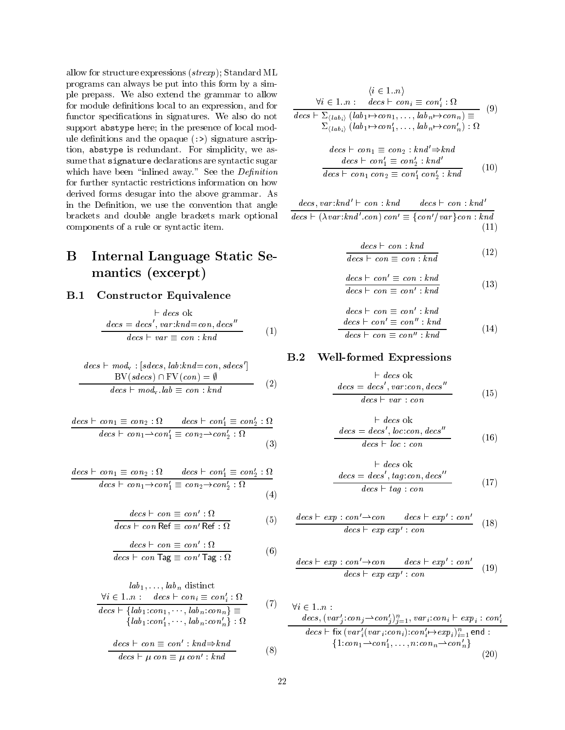allow for structure expressions (strexp); Standard ML programs can always be put into this form by a simple prepass. We also extend the grammar to allow for module definitions local to an expression, and for functor specifications in signatures. We also do not support abstype here; in the presence of local module definitions and the opaque  $(?)$  signature ascription, abstype is redundant. For simplicity, we assume that signature declarations are syntactic sugar which have been "inlined away." See the  $Definition$ for further syntactic restrictions information on how derived forms desugar into the above grammar. As in the Definition, we use the convention that angle brackets and double angle brackets mark optional components of a rule or syntactic item.

## B Internal Language Static Semantics (excerpt)

### B.1 Constructor Equivalence

$$
+ decs \nightharpoonup k
$$
  
\n
$$
decs = decs', var: knd = con, decs''
$$
  
\n
$$
decs + var \equiv con: knd
$$
 (1)

$$
decs \vdash mod_v : [sdecs, lab: knd = con, sdecs']
$$
  
\n
$$
BV(sdecs) \cap FV(con) = \emptyset
$$
  
\n
$$
decs \vdash mod_v. lab \equiv con : knd
$$
 (2)

$$
\frac{decs \vdash con_1 \equiv con_2 : \Omega \qquad decs \vdash con'_1 \equiv con'_2 : \Omega}{decs \vdash con_1 \rightarrow con'_1 \equiv con_2 \rightarrow con'_2 : \Omega}
$$

$$
(3)
$$

$$
\frac{decs \vdash con_1 \equiv con_2 : \Omega \qquad decs \vdash con'_1 \equiv con'_2 : \Omega}{decs \vdash con_1 \rightarrow con'_1 \equiv con_2 \rightarrow con'_2 : \Omega}
$$

$$
(4)
$$

$$
\frac{desc + con \equiv con' : \Omega}{desc + con \text{ Ref} \equiv con' \text{ Ref} : \Omega}
$$
 (5)

$$
\frac{decs \vdash con \equiv con' : \Omega}{decs \vdash con \text{Tag} \equiv con' \text{Tag} : \Omega}
$$
 (6)

$$
lab_1, \ldots, lab_n \text{ distinct}
$$
\n
$$
\forall i \in 1..n : decs \vdash con_i \equiv con'_i : \Omega
$$
\n
$$
\overline{decs} \vdash \{lab_1 : con_1, \cdots, lab_n : con_n\} \equiv \{lab_1 : con'_1, \cdots, lab_n : con'_n\} : \Omega
$$
\n
$$
\overline{decs} \vdash con \equiv con' : knd \Rightarrow knd
$$
\n
$$
(7)
$$

$$
\frac{decs + \mu con \equiv \mu con': knd}{}
$$
 (8)

$$
\langle i \in 1..n \rangle
$$
  
\n
$$
\forall i \in 1..n : \quad decs \vdash con_i \equiv con'_i : \Omega
$$
  
\n
$$
\overline{decs} \vdash \Sigma_{\langle lab_i \rangle} (lab_1 \rightarrow con_1, \dots, lab_n \rightarrow con_n) \equiv
$$
  
\n
$$
\Sigma_{\langle lab_i \rangle} (lab_1 \rightarrow con'_1, \dots, lab_n \rightarrow con'_n) : \Omega
$$
  
\n
$$
decs \vdash con_1 \equiv con_2 : knd' \Rightarrow knd
$$
  
\n
$$
decs \vdash con' \equiv con' \cdot knd'
$$

$$
\frac{a e c s + c o n_1 \equiv c o n_2 : k n d}{de c s + c o n_1 \, c o n_2 \equiv c o n_1' \, c o n_2' : k n d} \tag{10}
$$

 $decs, var: knd' \vdash con : knd$  decs  $\vdash con : knd'$  $\overline{desc} \vdash (\lambda var: knd'.con) \text{ con'} \equiv \{con'/var\} \text{ con} : knd$ (11)

$$
\frac{decs + con : knd}{decs + con \equiv con : knd} \tag{12}
$$

$$
\begin{aligned}\n\text{dec}s &+ \text{con'} \equiv \text{con} : \text{knd} \\
\text{decs} &+ \text{con} \equiv \text{con'} : \text{knd}\n\end{aligned} \tag{13}
$$

$$
decs \vdash con \equiv con' : knd
$$
  

$$
decs \vdash con' \equiv con'' : knd
$$
  

$$
decs \vdash con \equiv con'' : knd
$$
 (14)

### B.2 Well-formed Expressions

`decs = decs <sup>0</sup> ; var :con; decs <sup>00</sup> decs ` var : con (15)

`decs = decs <sup>0</sup> ; loc:con; decs <sup>00</sup> decs ` loc : con (16)

`decs = decs <sup>0</sup> ; tag :con; decs <sup>00</sup> decs ` tag : con (17)

(5) 
$$
\frac{decs + exp : con' \to con \quad decs + exp' : con'}{decs + exp exp' : con}
$$
 (18)

$$
\frac{decs \vdash exp: con' \rightarrow con \quad decs \vdash exp': con'}{decs \vdash exp exp: con} \quad (19)
$$

$$
\forall i \in 1..n :\n \frac{decs, (var'_j:con_j \rightarrow con'_j)_{j=1}^n, var_i: con_i \vdash exp_i: con'_i}{decs \vdash fix (var'_i(var_i:con_i):con'_i \rightarrow exp_i)_{i=1}^n \text{end :}\n \{1:con_1 \rightarrow con'_1, \ldots, n:con_n \rightarrow con'_n\}
$$
\n(20)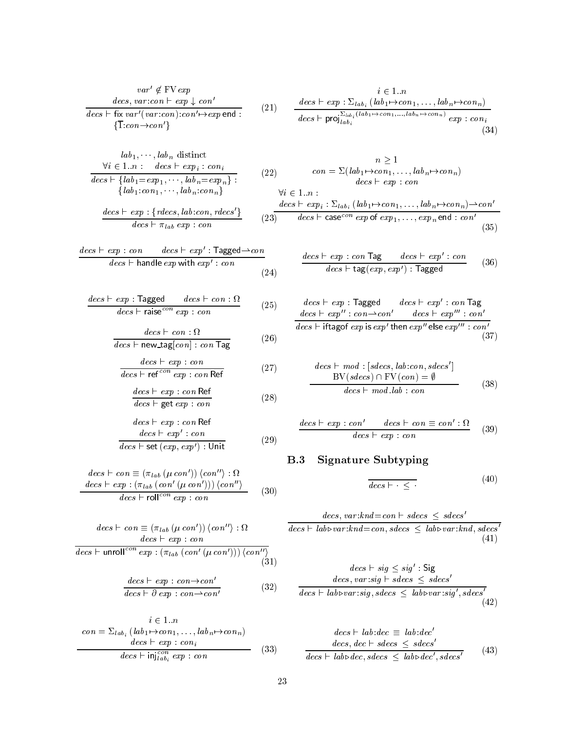$$
var' \notin \text{FV} \exp
$$
  
 
$$
\frac{desc, var:con \vdash exp \downarrow con'}{desc \vdash fix var'(var:con):con' \rightarrow exp \text{ end}}.
$$
 (21)  
{ $\overline{1:con \rightarrow con' }$ }

$$
lab_1, \cdots, lab_n \text{ distinct}
$$
  
\n
$$
\forall i \in 1..n : \quad desc + exp_i : con_i
$$
  
\n
$$
\overline{desc} \vdash \{lab_1 = exp_1, \cdots, lab_n = exp_n\} :
$$
  
\n
$$
\{lab_1 : con_1, \cdots, lab_n : con_n\}
$$
  
\n(2)

$$
\frac{decs \vdash exp : \{rdecs, lab:con, rdecs'\}}{decs \vdash \pi_{lab} exp : con}
$$
 (23)

$$
\frac{decs + exp:con \quad decs + exp': \text{Tagged} \rightarrow con}{decs + \text{ handle } exp \text{ with } exp': con}
$$
\n(24)

$$
\frac{decs + exp : \text{Tagged} \qquad decs + con : \Omega}{decs + raise^{con} exp : con} \tag{25}
$$

$$
\frac{desc + con : \Omega}{desc + new\_tag[con] : con Tag}
$$
 (26)

$$
\frac{decs + exp:con}{decs + ref^{con} exp:con \text{Ref}} \qquad (27)
$$

$$
\frac{desc + exp : con \text{Ref}}{desc + get \exp : con}
$$
 (28)

$$
\frac{decs + exp : con \text{ Ref}}{decs + exp' : con}
$$
\n
$$
\frac{decs + exp' : con}{decs + set (exp, exp') : Unit}
$$
\n(29)

$$
\frac{decs \vdash con \equiv (\pi_{lab} (\mu \text{ con'})) \langle con'' \rangle : \Omega}{decs \vdash exp : (\pi_{lab} (\text{con'} (\mu \text{ con'}))) \langle con'' \rangle} \n\frac{decs \vdash exp : (\pi_{lab} (\text{con'} (\mu \text{ con'}))) \langle con'' \rangle}{decs \vdash roll^{con} \exp : con}
$$
\n(30)

$$
decs \vdash con \equiv (\pi_{lab} (\mu con')) \langle con'' \rangle : \Omega \qquad \overline{de}
$$
  

$$
decs \vdash exp : con
$$
  

$$
\overline{decs \vdash unroll^{con} exp : (\pi_{lab} (con' (\mu con'))) \langle con'' \rangle}
$$
  
(31)

$$
\frac{decs + exp : con \rightarrow con'}{decs + \partial exp : con \rightarrow con'} \tag{32} \qquad \frac{dcc}{d}
$$

$$
i \in 1..n
$$
  
\n
$$
con = \sum_{lab_i} (lab_1 \rightarrow con_1, ..., lab_n \rightarrow con_n)
$$
  
\n
$$
decs + exp : con_i
$$
  
\n
$$
decs + inj_{lab_i}^{con} exp : con
$$
  
\n(33)

$$
i \in 1..n
$$
  
\n
$$
\frac{decs + exp : \Sigma_{lab_i} (lab_1 \rightarrow con_1, ..., lab_n \rightarrow con_n)}{decs + \text{proj}_{lab_i}^{(\Sigma_{lab_i} (lab_1 \rightarrow con_1, ..., lab_n \rightarrow con_n))} exp : con_i}
$$
  
\n(34)

$$
n \ge 1
$$
  
(22) 
$$
con = \Sigma(lab_1 \rightarrow con_1, ..., lab_n \rightarrow con_n)
$$
  

$$
decs + exp : con
$$
  

$$
\forall i \in 1..n:
$$
  

$$
decs + exp : \Sigma_{lab_i} (lab_1 \rightarrow con_1, ..., lab_n \rightarrow con_n) \rightarrow con'
$$
  
(23) 
$$
decs + case^{con} exp of exp_1, ..., exp_n end : con'
$$
  
(35)

$$
\frac{decs + exp : con Tag \quad decs + exp' : con}{decs + tag(exp, exp') : Tagged} \qquad (36)
$$

$$
desc \vdash exp : \text{Tagged} \qquad desc \vdash exp' : con \text{Tag}
$$
\n
$$
\frac{desc \vdash exp' : con \rightharpoonup con' \qquad desc \vdash exp'' : con'}{desc \vdash \text{iftagof } exp \text{ is } exp' \text{ then } exp'' \text{ else } exp'' : con'}
$$
\n(37)

$$
\frac{desc + mod : [sdesc, lab:con, sdesc']}{BV(sdesc) \cap \text{FV}(con) = \emptyset}
$$
  

$$
\frac{decs + mod.lab : con}{}
$$
 (38)

$$
\frac{decs + exp : con' \quad decs + con \equiv con' : \Omega}{decs + exp : con} \quad (39)
$$

$$
B.3 \quad \text{square} \quad \text{Suplying} \quad (40)
$$

$$
\frac{desc, var: knd = con \vdash sdesc \leq sdesc'}{desc + lab \triangleright var: knd = con, sdesc \leq lab \triangleright var: knd, sdesc'}
$$
\n
$$
(41)
$$

(32) 
$$
desc + sig \le sig' : Sig
$$

$$
desc, var: sig \vdash sdesc \le sdesc'
$$

$$
desc + lab \triangleright u \le sc \le lab \triangleright var: sig, (42)
$$

$$
decs \vdash lab: dec \equiv lab: dec'
$$
  

$$
decs, dec \vdash sdecs \le sdecs'
$$
  

$$
\overline{decs \vdash lab \triangleright dec, sdecs} \le lab \triangleright dec', sdecs'
$$
 (43)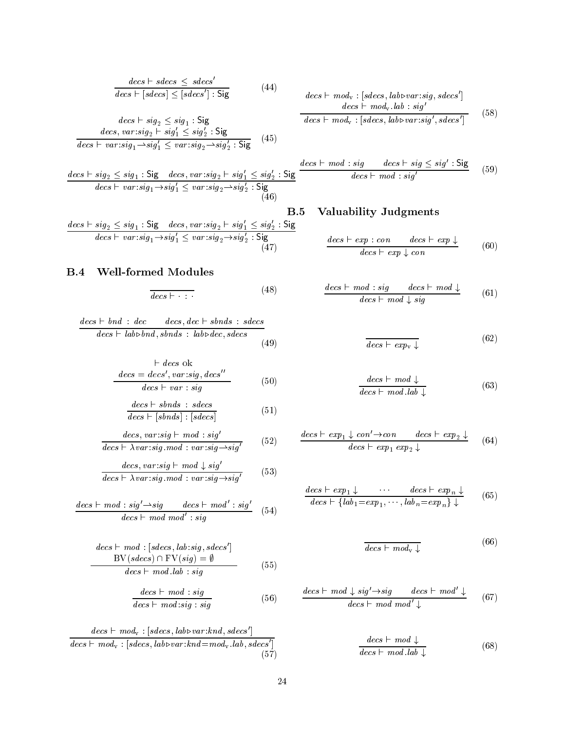$$
\frac{desc + sdesc \le sdesc'}{desc + [sdesc] \le [sdesc'] : Sig} \tag{44}
$$

$$
desc + sig_2 \le sig_1 : Sig
$$
  

$$
desc, var: sig_2 \vdash sig'_1 \le sig'_2 : Sig
$$
  

$$
desc + var: sig_1 \rightarrow sig'_1 \le var: sig_2 \rightarrow sig'_2 : Sig
$$
 (45)

$$
\frac{decs + sig_2 \le sig_1 : Sig \text{ } decs, var: sig_2 \vdash sig'_1 \le sig'_2 : Sig}{decs + var: sig_1 \rightarrow sig'_1 \le var: sig_2 \rightarrow sig'_2 : Sig} \tag{46}
$$

$$
\frac{decs \vdash mod_v : [seces, labvvar: sig, secs']}{decs \vdash mod_v. lab : sig'}\n\frac{decs \vdash mod_v. [secs, labvar: sig', secs']}{\text{ }} (58)
$$

$$
\frac{decs \vdash mod : sig \qquad decs \vdash sig \leq sig' : Sig}{decs \vdash mod : sig'} \qquad (59)
$$

# B.5 Valuability Judgments

$$
\frac{decs + exp : con \quad decs + exp \downarrow}{decs + exp \downarrow con} \tag{60}
$$

$$
\frac{desc + mod : sig \quad desc + mod \downarrow}{desc + mod \downarrow sig} \tag{61}
$$

$$
\overline{desc + exp_v \downarrow} \tag{62}
$$

$$
\frac{decs \text{ } \vdash mod \text{ } \downarrow}{decs \text{ } \vdash mod.lab \text{ } \downarrow} \tag{63}
$$

$$
\frac{decs + exp_1 \downarrow con' \to con \quad decs + exp_2 \downarrow}{decs + exp_1 exp_2 \downarrow} \quad (64)
$$

$$
\frac{decs + exp_1 \downarrow \cdots \qquad decs + exp_n \downarrow}{decs + \{ lab_1 = exp_1, \cdots, lab_n = exp_n \} \downarrow}
$$
 (65)

$$
\frac{d_{\text{ecs}} + \text{mod}_{\text{v}}}{d_{\text{ecs}} + \text{mod}_{\text{v}}} \tag{66}
$$

$$
\frac{desc \vdash mod \downarrow sig' \to sig}{desc \vdash mod mod' \downarrow} \qquad (67)
$$

$$
\frac{desc \vdash mod \downarrow}{desc \vdash mod. lab \downarrow} \tag{68}
$$

B.5 Vg  
\n
$$
\frac{decs + sig_2 \le sig_1 : Sig \text{ } decs, var: sig_2 \vdash sig'_1 \le sig'_2 : Sig}{decs + var: sig_1 \rightarrow sig'_1 \le var: sig_2 \rightarrow sig'_2 : Sig}
$$

**B.4 Well-formed Modules**  
\n
$$
\frac{d}{decs + \cdots}
$$
\n(48)

 $\lambda$   $\sim$   $\lambda$ 

$$
\frac{decs + bnd : dec \text{ } decs, dec + sbnds : sdecs}{decs + labb} \cdot \text{ } labb \cdot dec, sdecs \qquad (49)
$$

$$
+ decs \n\begin{array}{c}\n+ decs \n\end{array} \n\text{ok} \\
\frac{decs = decs', var: sig, decs''}{decs + var: sig} \n\tag{50}
$$

$$
\frac{desc + shnds \; : \; sdesc}{desc + [shnds] : [sdesc]}
$$
 (51)

$$
\frac{decs, var: sig \vdash mod : sig'}{decs \vdash \lambda var: sig.mod : var: sig \rightarrow sig'} \qquad (52) \qquad \frac{d}{ds}
$$

$$
\frac{desc, var: sig \vdash mod \downarrow sig'}{desc \vdash \lambda var: sig \cdot mod \; : var: sig \rightarrow sig'} \qquad (53)
$$

$$
\frac{desc \vdash mod : sig' \rightarrow sig}{desc \vdash mod mod' : sig} \quad (54)
$$

$$
\frac{desc + mod : [sdesc, lab : sig, sdesc']}{\text{BV}(sdesc) \cap \text{FV}(sig) = \emptyset} \tag{55}
$$

$$
\frac{desc + mod : sig}{desc + mod : sig : sig} \tag{56}
$$

$$
\frac{decs \vdash mod_v : [sdecs, lab\triangleright var: knd, sdecs']}{decs \vdash mod_v : [sdecs, lab\triangleright var: knd = mod_v. lab, sdecs']}\n \tag{57}
$$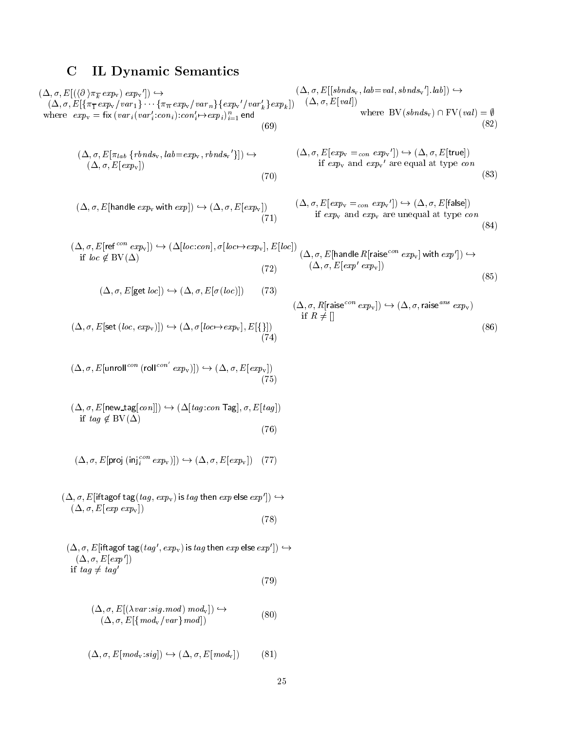# C IL Dynamic Semantics

$$
(\Delta, \sigma, E[(\theta) \pi_{\overline{z}} \exp, \exp, \exp, \{ \exp_{z} \exp, \{ \exp_{z} \exp, \{ \exp_{z} \exp, \{ \exp_{z} \exp, \{ \exp_{z} \exp, \{ \exp_{z} \exp, \{ \exp_{z} \exp, \{ \exp_{z} \exp, \{ \exp_{z} \exp, \{ \exp_{z} \} \} \} \} \} \} \Delta, \sigma, E[[\text{sign}] \rightarrow \text{where } BV(\text{shnds}, \text{in} \text{F}) \rightarrow \text{where } BV(\text{shnds}, \text{in} \text{F}) \rightarrow \text{where } \text{div}(I_{\text{st}} \text{in}) \rightarrow \text{where } \text{div}(I_{\text{st}} \text{in}) \rightarrow \text{where } \text{div}(I_{\text{st}} \text{in}) \rightarrow \text{where } \text{div}(I_{\text{st}} \text{in}) \rightarrow \text{where } \text{div}(I_{\text{st}} \text{in}) \rightarrow \text{where } \text{div}(I_{\text{st}} \text{in}) \rightarrow \text{where } \text{div}(I_{\text{st}} \text{in}) \rightarrow \text{where } \text{div}(I_{\text{st}} \text{in}) \rightarrow \text{where } \text{div}(I_{\text{st}} \text{in}) \rightarrow \text{where } \text{div}(I_{\text{st}} \text{in}) \rightarrow \text{where } \text{div}(I_{\text{st}} \text{in}) \rightarrow \text{where } \text{div}(I_{\text{st}} \text{in}) \rightarrow \text{where } \text{div}(I_{\text{st}} \text{in}) \rightarrow \text{where } \text{div}(I_{\text{st}} \text{in}) \rightarrow \text{where } \text{div}(I_{\text{st}} \text{in}) \rightarrow \text{the equation } \text{tr}(I_{\text{st}} \text{in}) \rightarrow \text{the equation } \text{tr}(I_{\text{st}} \text{in}) \rightarrow \text{the equation } \text{tr}(I_{\text{st}} \text{in}) \rightarrow \text{the equation } \text{tr}(I_{\text{st}} \text{in}) \rightarrow \text{the equation } \text{tr}(I_{\text{st}} \text{in}) \rightarrow \text{the equation } \text{tr}(I_{\text{st}} \text{in}) \rightarrow \text{the equation } \text{tr}(I_{\text{st}} \text{in}) \rightarrow \text{the equation } \text{tr}(I_{\text{st}} \text{
$$

$$
(\Delta, \sigma, E[mod_v:sig]) \hookrightarrow (\Delta, \sigma, E[mod_v])
$$
 (81)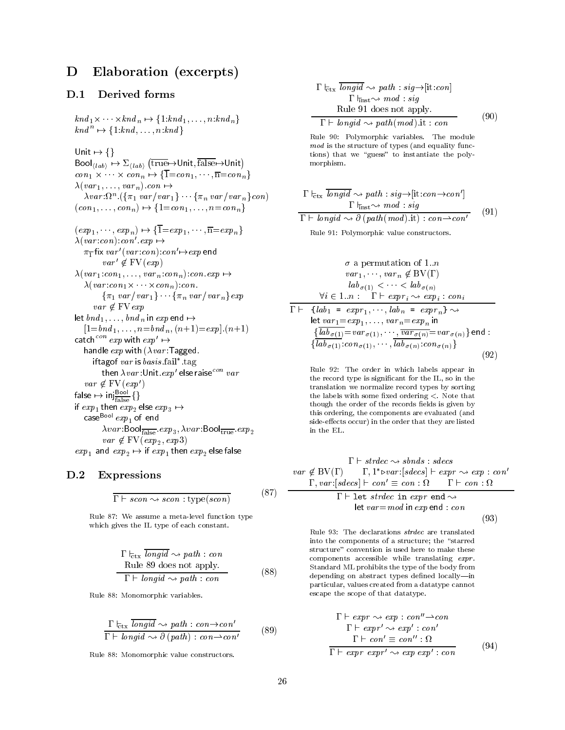### Elaboration (excerpts) D

### $D.1$ Derived forms

**1.1** Derived forms<br>  $knd_1 \times \cdots \times knd_n \mapsto \{1:knd_1,\ldots,n:knd_n\}$  $knd^n \mapsto \{1:knd, \dots$ <br>Unit  $\mapsto \{\}$  $\begin{array}{l} \n\mathbf{x} \cdot \mathbf{y} \times \mathbf{x} \times \mathbf{x} \cdot \mathbf{y} \rightarrow \{1:knd_1,\ldots,n:k_n\} \ \mathbf{y} \rightarrow \{1:knd,\ldots,n:knd\} \end{array}$ 

Unit  $\mapsto \{\}$ Bool $_{\langle\, lab\rangle}\mapsto\Sigma_{\langle\, lab\rangle}$  (true $\mapsto$ Unit, false $\mapsto$ Unit) Unit  $\rightarrow \{\}\$ <br>Bool $_{\langle lab \rangle} \mapsto \Sigma_{\langle lab \rangle}$  (true $\rightarrow$ Unit, false $\rightarrow$ Unit)<br> $con_1 \times \cdots \times con_n \mapsto \{\overline{1} = con_1, \cdots, \overline{n} = con_n\}$  $\{\}$ <br>  $\rightarrow \rightarrow \frac{1}{2}$  $\lambda$ (var  $_1,\ldots$ , var  $_n$ ).  $con \rightarrow$  $\lambda \textit{var}: V \cap \{ \pi_1 \textit{var} / \textit{var}_1 \} \longrightarrow \{ \pi_n \textit{var} / \textit{var}_n \} \textit{con}$  $\lambda(var_1, \ldots, var_n).con \rightarrow$ <br>  $\lambda var: \Omega^n. (\{\pi_1 var/var_1\} \cdots \{\pi_n var/var_n\} con)$ <br>  $(con_1, \ldots, con_n) \mapsto \{1 = con_1, \ldots, n = con_n\}$  $(\text{con}_1, \ldots, \text{con}_n) \mapsto \{1=\text{con}_1, \ldots, n=\text{con}_n\}$ 

$$
(exp_1, \dots, exp_n) \mapsto {\overline{1}} = exp_1, \dots, \overline{n} = exp_n
$$
  
\n
$$
\lambda(var:con):con'.exp \mapsto
$$
  
\n
$$
\pi_1 \text{fix} var'(var:con):con' \mapsto exp \text{ end}
$$
  
\n
$$
var' \notin \text{FV}(exp)
$$
  
\n
$$
\lambda(var_1:con_1, \dots, var_n:con_n):con.exp \mapsto
$$
  
\n
$$
\lambda(var:con_1 \times \dots \times con_n):con
$$
  
\n
$$
\{\pi_1 var / var_1\} \cdots \{\pi_n var / var_n\} exp
$$
  
\n
$$
var \notin \text{FV} exp
$$
  
\nlet  $lnd_1, \dots, hd_n$  in  $exp \text{ end } \mapsto$   
\n
$$
[1=bnd_1, \dots, n=bnd_n, (n+1)=exp].(n+1)
$$
  
\ncatch<sup>con</sup> exp with  $exp' \mapsto$   
\nhandle  $exp$  with  $(\lambda var: \text{Tagged.}$   
\nif tagof var is basis. fail.\* tag  
\nthen  $\lambda var: \text{Unit.} exp'$  else raise<sup>con</sup> var  
\n $var \notin \text{FV}(exp')$   
\nfalse  $\mapsto \text{in}_{\text{False}}^{Sol}$   
\nif  $exp_1$  then  $exp_2$  else  $exp_3 \mapsto$   
\ncase<sup>Bool</sup> exp\_1 of end  
\n
$$
\lambda var: \text{Bool}_{\text{false}}^{T} exp_3, \lambda var: \text{Bool}_{\text{true}}^{T} exp_2
$$
  
\n $var \notin \text{FV}(exp_2, exp_3)$   
\n $exp_1$  and  $exp_2 \mapsto$  if  $exp_1$  then  $exp_2$  else false

### D.2 Expressions

$$
\overline{\Gamma \vdash scon \leadsto scon : \text{type}(scon)} \qquad (87)
$$

Rule 87: We assume a meta-level function type which gives the IL type of each constant.

$$
\frac{\Gamma \vdash_{\text{ctx}} \overline{longid} \rightsquigarrow path : con}{\text{Rule 89 does not apply.}}\n\frac{\Gamma \vdash longid \rightsquigarrow path : con}{\Gamma \vdash longid \rightsquigarrow path : con}
$$
\n(88)

Rule 88: Monomorphic variables.

$$
\frac{\Gamma \vdash_{\text{ctx}}\overline{longid} \rightsquigarrow path : con \rightarrow con'}{\Gamma \vdash longid \rightsquigarrow \partial (path) : con \rightarrow con'} \tag{89}
$$

Rule 88: Monomorphic value constructors.

$$
\Gamma \downarrow_{\text{ctx}} longid \rightsquigarrow path : sig \rightarrow [it:con]
$$
\n
$$
\Gamma \downarrow_{\text{inst}} \rightsquigarrow mod : sig
$$
\n
$$
\text{Rule 91 does not apply.}
$$
\n
$$
\Gamma \vdash longid \rightsquigarrow path (mod).it : con
$$
\n(90)

Rule 90: Polymorphic variables. The module mod is the structure of types (and equality functions) that we "guess" to instantiate the polymorphism.

$$
\frac{\Gamma \vdash_{\text{ctx}} \overline{longid} \rightsquigarrow path : sig \rightarrow [it:con \rightarrow con']}{\Gamma \vdash_{\text{inst}} \rightsquigarrow mod : sig}
$$
\n
$$
\frac{\Gamma \vdash longid \rightsquigarrow \partial (path (mod).it) : con \rightarrow con'}{\Gamma \vdash longid \rightsquigarrow \partial (path (mod).it) : con \rightarrow con'} \qquad (91)
$$

Rule 91: Polymorphic value constructors.

$$
\sigma \text{ a permutation of } 1..n
$$
  
\n
$$
var_1, \dots, var_n \notin BV(\Gamma)
$$
  
\n
$$
lab_{\sigma(1)} < \dots < lab_{\sigma(n)}
$$
  
\n
$$
\forall i \in 1..n : \Gamma \vdash expr_i \leadsto exp_i : con_i
$$
  
\n
$$
\Gamma \vdash \{ lab_1 = expr_1, \dots, lab_n = expr_n \} \leadsto
$$
  
\nlet  $var_1 = exp_1, \dots, var_n = exp_n$  in  
\n
$$
\{ lab_{\sigma(1)} = var_{\sigma(1)}, \dots, \frac{\overline{var}_{\sigma(n)}}{\overline{var}_{\sigma(n)}} = var_{\sigma(n)} \} \text{ end :}
$$
  
\n
$$
\{ lab_{\sigma(1)} : con_{\sigma(1)}, \dots, \{ lab_{\sigma(n)} : con_{\sigma(n)} \} } (92)
$$

Rule 92: The order in which labels appear in the record type is signicant for the IL, so in the translation we normalize record types by sorting the labels with some fixed ordering  $<$ . Note that though the order of the records fields is given by this ordering, the components are evaluated (and side-effects occur) in the order that they are listed in the EL.

$$
\Gamma \vdash \mathit{strdec} \leadsto \mathit{sbnds} : \mathit{sdecs}
$$
\n
$$
\mathit{var} \notin \mathrm{BV}(\Gamma) \qquad \Gamma, 1^* \triangleright \mathit{var} : [\mathit{sdecs}] \vdash \mathit{expr} \rightsquigarrow \mathit{exp} : \mathit{con}'
$$
\n
$$
\Gamma, \mathit{var} : [\mathit{sdecs}] \vdash \mathit{con}' \equiv \mathit{con} : \Omega \qquad \Gamma \vdash \mathit{con} : \Omega
$$

$$
\Gamma \vdash \text{let } strdec \text{ in } expr \text{ end } \leadsto
$$
  
let  $var = mod \text{ in } exp \text{ end} : con$  (93)

(93)

Rule 93: The declarations strdec are translated into the components of a structure; the "starred structure" convention is used here to make these components accessible while translating expr. Standard ML prohibits the type of the body from depending on abstract types defined locally-in particular, values created from a datatype cannot escape the scope of that datatype.

$$
\Gamma \vdash expr \leadsto exp : con'' \rightarrow con \n\Gamma \vdash expr' \leadsto exp' : con' \n\Gamma \vdash con' \equiv con'' : \Omega \n\Gamma \vdash expr \ exp' \leadsto exp \ exp' : con
$$
\n(94)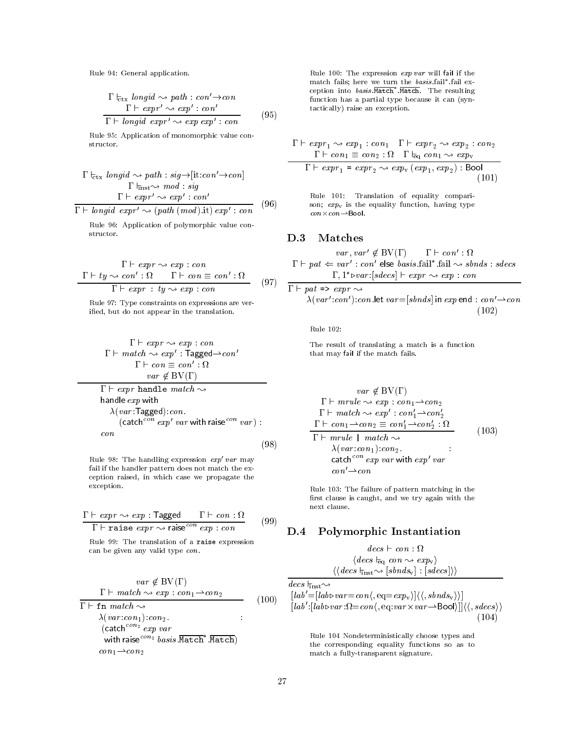Rule 94: General application.

$$
\frac{\Gamma \vdash_{\text{ctx}} longid \rightsquigarrow path : con' \rightarrow con}{\Gamma \vdash expr' \rightsquigarrow exp' : con'}
$$
\n
$$
\frac{\Gamma \vdash longid \; expr' \rightsquigarrow exp \; exp}{\Gamma \vdash longid \; expr' \rightsquigarrow exp \; exp' : con}
$$
\n
$$
(95)
$$

Rule 95: Application of monomorphic value constructor.

$$
\Gamma \models_{\text{ctx}} longid \leadsto path : sig \rightarrow [\text{it:con'} \rightarrow con]
$$
  

$$
\Gamma \models_{\text{inst}} \leadsto mod : sig
$$
  

$$
\Gamma \vdash expr' \leadsto exp' : con'
$$
  

$$
\Gamma \vdash longid \; expr' \leadsto (path \, (mod). \text{it}) \; exp' : con
$$
 (96)

Rule 96: Application of polymorphic value constructor.

$$
\Gamma \vdash expr \leadsto exp:con
$$
  
\n
$$
\Gamma \vdash ty \leadsto con': \Omega \qquad \Gamma \vdash con \equiv con': \Omega
$$
  
\n
$$
\Gamma \vdash expr: ty \leadsto exp:con
$$
 (97)

Rule 97: Type constraints on expressions are veried, but do not appear in the translation.

$$
\Gamma \vdash expr \leadsto exp : con
$$
\n
$$
\Gamma \vdash match \leadsto exp' : Taged \rightarrow con'
$$
\n
$$
\Gamma \vdash con \equiv con' : \Omega
$$
\n
$$
var \notin BV(\Gamma)
$$
\n
$$
\Gamma \vdash expr \text{ handle } match \leadsto
$$
\nhandle exp with

$$
\lambda(var; \text{Tagged}): con. \n (catchcon exp' var with raisecon var): \ncon
$$

Rule 98: The handling expression  $exp' var$  may fail if the handler pattern does not match the exception raised, in which case we propagate the exception.

$$
\frac{\Gamma \vdash expr \leadsto exp : \text{Tagged} \qquad \Gamma \vdash con : \Omega}{\Gamma \vdash \text{raise } exp \rightarrow \text{raise }^{con} \text{ } exp : con}
$$
 (99)

Rule 99: The translation of a raise expression can be given any valid type con.

$$
var \notin BV(\Gamma)
$$
  
\n
$$
\Gamma \vdash match \leadsto exp : con_1 \rightarrow con_2
$$
\n
$$
\Gamma \vdash \text{f} \bullet \text{match} \leftrightarrow (100)
$$

$$
\begin{array}{l}\n1 \in \text{In } \textit{match} \rightsquigarrow \\
\lambda \left( \textit{var:con}_1 \right) : \textit{con}_2. \\
(\textit{catch}^{\textit{con}_2} \textit{exp var} \\
\textit{with raise}^{\textit{con}_2} \textit{basis} . \overline{\textit{Match}}^* . \overline{\textit{Match}}) \\
\textit{con}_1 \rightarrow \textit{con}_2\n\end{array}
$$

Rule 100: The expression exp var will fail if the match fails; here we turn the *basis* fail tail exception into *basis*.Match .Match. The resulting function has a partial type because it can (syntactically) raise an exception.

$$
\Gamma \vdash expr_1 \leadsto exp_1 : con_1 \quad \Gamma \vdash expr_2 \leadsto exp_2 : con_2 \n\Gamma \vdash con_1 \equiv con_2 : \Omega \quad \Gamma \vdash_{\text{Eq}} con_1 \leadsto exp_v \n\Gamma \vdash expr_1 = expr_2 \leadsto exp_v (exp_1, exp_2) : \text{Bool} \tag{101}
$$

Rule 101: Translation of equality comparison;  $exp_v$  is the equality function, having type

### $D.3$ **Matches**

 $var, var' \notin BV(\Gamma) \qquad \Gamma \vdash con' : \Omega$  $1 \vdash pat \Leftarrow var$  : con^ else basis fail  $\exists$  fail  $\rightsquigarrow$  sonds : sdecs  $\Gamma$ ,  $1^*$   $\triangleright$   $var$  :  $[sdecs]$   $\vdash$   $expr \rightsquigarrow exp : con$ 

 $\Gamma \vdash \mathit{pat} \Rightarrow \mathit{expr} \rightsquigarrow$  $\lambda(var':con'):con$ . let  $var=[shnds]$  in  $exp$  end :  $con'\rightarrow con$ (102)

Rule 102:

The result of translating a match is a function that may fail if the match fails.

$$
var \notin BV(\Gamma)
$$
  
\n
$$
\Gamma \vdash mrule \rightsquigarrow exp : con_1 \rightarrow con_2
$$
  
\n
$$
\Gamma \vdash match \rightsquigarrow exp' : con'_1 \rightarrow con'_2
$$
  
\n
$$
\Gamma \vdash con_1 \rightarrow con_2 \equiv con'_1 \rightarrow con'_2 : \Omega
$$
  
\n
$$
\Gamma \vdash mrule \mid match \rightsquigarrow
$$
  
\n
$$
\lambda(var: con_1): con_2.
$$
  
\n
$$
catch^{con} exp var with exp' var
$$
  
\n
$$
con' \rightarrow con
$$
  
\n(103)

Rule 103: The failure of pattern matching in the first clause is caught, and we try again with the next clause.

### D.4 Polymorphic Instantiation

 $decs \vdash con : \Omega$ (*decs*  $\tau_{eq}$  con  $\sim$  exp<sub>v</sub>)  $\langle \langle \textit{desc}|\ \mathbf{h}_{\text{inst}}{\leadsto} \ [\textit{shnds}_\text{v}] : [\textit{sdesc}] \rangle \rangle$ 

 $decs \models_{\text{inst}} \leadsto$ 

(100) [lab<sup>0</sup> :[lab.var : =conh; eq:var-var\*Booli]]hh; sdecs ii  $|lab\rangle = |lab\rangle var = con \langle, eq = exp_v \rangle |\langle \langle, sbn ds_v \rangle \rangle|$ (104)

> Rule 104 Nondeterministically choose types and the corresponding equality functions so as to match a fully-transparent signature.

(98)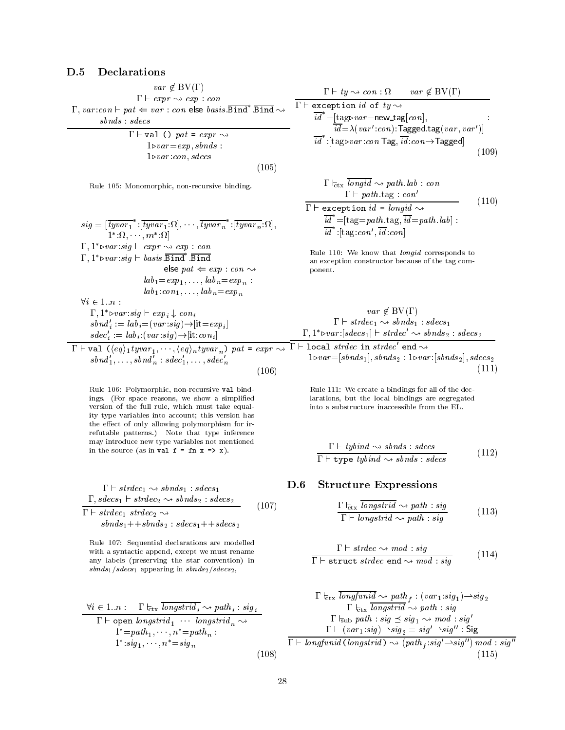### D.5 Declarations

$$
var \notin BV(\Gamma)
$$
  
\n
$$
\Gamma \vdash expr \leadsto exp:con
$$
  
\n
$$
\Gamma, var:con \vdash pat \Leftarrow var:con \text{ else } basis. \overline{Bind}^*.\overline{Bind} \leadsto
$$
  
\n
$$
shnds: \text{ }sdesc
$$

$$
\Gamma \vdash \text{val } () \text{ pat} = \text{expr} \rightsquigarrow
$$
  

$$
1 \triangleright \text{var} = \text{exp}, \text{shnds} :
$$
  

$$
1 \triangleright \text{var:con}, \text{secs}
$$
  
(105)

(105)

Rule 105: Monomorphic, non-recursive binding.

$$
sig = [\overline{tyvar_1}^* : [\overline{tyvar_1}; \Omega], \cdots, \overline{tyvar_n}^* : [\overline{tyvar_n}; \Omega], \qquad \overline{id} = [\overline{ti}, \overline{it}^* : [\overline{tyvar_i}; \Omega], \cdots, \overline{it}^* : [\overline{tyvar_n}; \Omega], \qquad \overline{id}^* : [\overline{ta}, \overline{it}^* : [\overline{ta}, \overline{it}^* : [\overline{ta}, \overline{it}^* : [\overline{ta}, \overline{it}^* : [\overline{ta}, \overline{it}^* : [\overline{ta}, \overline{it}^* : [\overline{ta}, \overline{it}^* : [\overline{ta}, \overline{it}^* : [\overline{ta}, \overline{it}^* : [\overline{ta}, \overline{it}^* : [\overline{at}, \overline{it}^* : [\overline{at}, \overline{it}^* : [\overline{at}, \overline{it}^* : [\overline{at}, \overline{it}^* : [\overline{at}, \overline{it}^* : \overline{at}, \overline{at} \overline{at} \overline{at} \overline{at} \overline{at} \overline{at} \overline{at} \overline{at} \overline{at} \overline{at} \overline{at} \overline{at} \overline{at} \overline{at} \overline{at} \overline{at} \overline{at} \overline{at} \overline{at} \overline{at} \overline{at} \overline{at} \overline{at} \overline{at} \overline{at} \overline{at} \overline{at} \overline{at} \overline{at} \overline{at} \overline{at} \overline{at} \overline{at} \overline{at} \overline{at} \overline{at} \overline{at} \overline{at} \overline{at} \overline{at} \overline{at} \overline{at} \overline{at} \overline{at} \overline{at} \overline{at} \overline{at} \overline{at} \overline{at} \overline{at} \overline{at} \overline{at} \overline{at} \overline{at} \overline{at} \overline{at} \overline{at} \overline{at} \overline{at} \overline{at} \overline{at} \overline{at} \overline{at} \overline{at} \overline{at} \overline{at} \overline{at} \overline{
$$

$$
\Gamma \vdash \text{val } (\langle eq \rangle_1 \text{tyvar}_1, \cdots, \langle eq \rangle_n \text{tyvar}_n) \text{ pat} = \text{expr} \rightsquigarrow \Gamma \vdash \text{local strde} \text{stret}
$$
\n
$$
\text{shnd}_1', \ldots, \text{shnd}_n' : \text{sdec}_1', \ldots, \text{sdec}_n' \qquad \qquad 1 \triangleright \text{var} = [\text{shr}]
$$
\n
$$
(106)
$$

Rule 106: Polymorphic, non-recursive val bindings. (For space reasons, we show a simplified version of the full rule, which must take equality type variables into account; this version has the effect of only allowing polymorphism for irrefutable patterns.) Note that type inference may introduce new type variables not mentioned in the source (as in val  $f = fn \times => x$ ).

$$
\Gamma \vdash strdec_1 \leadsto shnds_1 : sdecs_1 \qquad \qquad \text{L.}
$$
\n
$$
\Gamma, sdecs_1 \vdash strdec_2 \leadsto shnds_2 : sdecs_2
$$
\n
$$
\Gamma \vdash strdec_1 strdec_2 \leadsto slencs_1 + sdecs_2 \qquad (107)
$$
\n
$$
shnds_1 + + shnds_2 : sdecs_1 + + sdecs_2
$$

Rule 107: Sequential declarations are modelled with a syntactic append, except we must rename any labels (preserving the star convention) in  $sbnds_1/sdecs_1$  appearing in  $sbnds_2/sdecs_2$ ,

$$
\forall i \in 1..n: \Gamma \models_{\text{ctx}} \overline{longstrid}_i \sim path_i : sig_i
$$
  
\n
$$
\Gamma \vdash \text{open} \text{longstrid}_1 \cdots \text{longstrid}_n \sim
$$
  
\n
$$
1^* = path_1, \cdots, n^* = path_n : \qquad \qquad \Gamma \vdash \text{lor}
$$
  
\n
$$
1^* : sig_1, \cdots, n^* = sig_n \qquad \qquad \Gamma \vdash \text{lor}
$$
\n(108)

$$
\frac{\Gamma \vdash ty \leadsto con : \Omega \qquad var \notin BV(\Gamma)}{\Gamma \vdash \text{exception } id \text{ of } ty \leadsto}
$$
\n
$$
\frac{\overbrace{\text{Bind}}^{\Gamma \vdash \text{exception } id \text{ of } ty \leadsto} \text{Var} \uplus \text{Coh}}{\overline{id}^* \text{=}[tagvar:con):Tagged.tag(var, var')]}_{\overline{id}^* \vdash [tagvar:con Tag, id:con \rightarrow Tagged]} \text{ (109)}
$$

$$
\Gamma \models_{\text{ctx}} \overline{longid} \rightsquigarrow path. \text{lab} : con
$$
\n
$$
\Gamma \vdash path \text{tag} : con'
$$
\n
$$
\Gamma \vdash \text{exception } id = longid \rightsquigarrow
$$
\n
$$
\overline{id}^* = [\text{tag} = path \text{tag}, \overline{id} = path. \text{lab}] :
$$
\n
$$
\overline{id}^* : [\text{tag} : con', \overline{id} : con]
$$
\n(110)

Rule 110: We know that longid corresponds to an exception constructor because of the tag com-

$$
var \notin BV(\Gamma)
$$
  
\n
$$
\Gamma \vdash strdec_1 \rightsquigarrow shnds_1 : sdecs_1
$$
  
\n
$$
\Gamma, 1^* \triangleright var: [sdecs_1] \vdash strdec' \rightsquigarrow shnds_2 : sdecs_2
$$
  
\n
$$
\Gamma \vdash \text{local } strdec \text{ in } strdec' \text{ end } \rightsquigarrow
$$

1.var=[sbnds 1]; sbnds 2 : 1.var :[sbnds <sup>2</sup>]; sdecs <sup>2</sup> (111)

Rule 111: We create a bindings for all of the declarations, but the local bindings are segregated into a substructure inaccessible from the EL.

$$
\frac{\Gamma \vdash tybind \leadsto shnds : sdecs}{\Gamma \vdash \text{type tybind} \leadsto sbnds : sdecs}
$$
 (112)

### D.6 Structure Expressions

$$
\frac{\Gamma \vdash_{\text{ctx}}\textit{longstrid} \rightarrow path : sig}{\Gamma \vdash \textit{longstrid} \rightarrow path : sig} \tag{113}
$$

$$
\frac{\Gamma \vdash \textit{strdec} \leadsto \textit{mod} : \textit{sig}}{\Gamma \vdash \textit{struct } \textit{strdec} \text{ end} \leadsto \textit{mod} : \textit{sig}} \tag{114}
$$

$$
\Gamma \models_{\text{ctx}} \overline{longfund} \leadsto path_{f} : (var_1: sig_1) \rightarrow sig_2
$$
\n
$$
\Gamma \models_{\text{ctx}} \overline{longstrid} \leadsto path : sig
$$
\n
$$
\Gamma \models_{\text{sub}} path : sig \preceq sig_1 \leadsto mod : sig'
$$
\n
$$
\Gamma \vdash (var_1: sig) \rightarrow sig_2 \equiv sig' \rightarrow sig'': \text{Sig}
$$
\n
$$
\Gamma \vdash \text{longfund} (\text{longstrid}) \leadsto (\text{path}_f: sig' \rightarrow sig'') \text{ mod} : sig''
$$
\n
$$
(115)
$$

 $\lambda$  - - -  $\lambda$